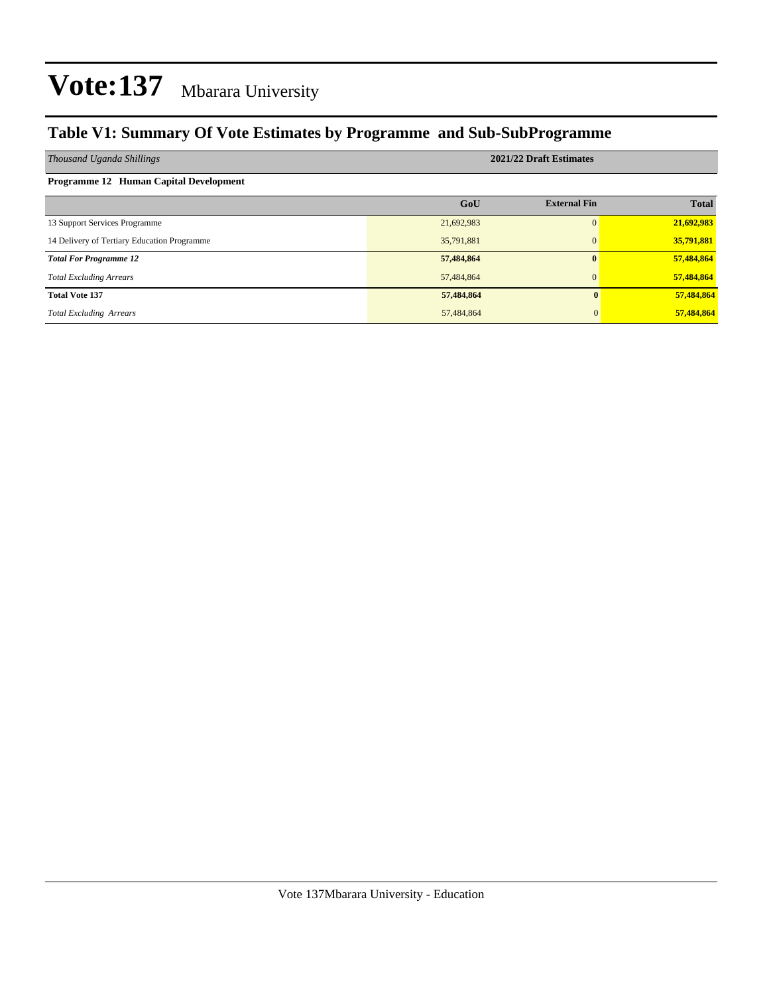#### **Table V1: Summary Of Vote Estimates by Programme and Sub-SubProgramme**

| Thousand Uganda Shillings                   | 2021/22 Draft Estimates |                     |              |  |  |  |
|---------------------------------------------|-------------------------|---------------------|--------------|--|--|--|
| Programme 12 Human Capital Development      |                         |                     |              |  |  |  |
|                                             | GoU                     | <b>External Fin</b> | <b>Total</b> |  |  |  |
| 13 Support Services Programme               | 21,692,983              | 0                   | 21,692,983   |  |  |  |
| 14 Delivery of Tertiary Education Programme | 35,791,881              | $\Omega$            | 35,791,881   |  |  |  |
| <b>Total For Programme 12</b>               | 57,484,864              | $\mathbf{0}$        | 57,484,864   |  |  |  |
| <b>Total Excluding Arrears</b>              | 57,484,864              | $\Omega$            | 57,484,864   |  |  |  |
| <b>Total Vote 137</b>                       | 57,484,864              |                     | 57,484,864   |  |  |  |
| <b>Total Excluding Arrears</b>              | 57,484,864              |                     | 57,484,864   |  |  |  |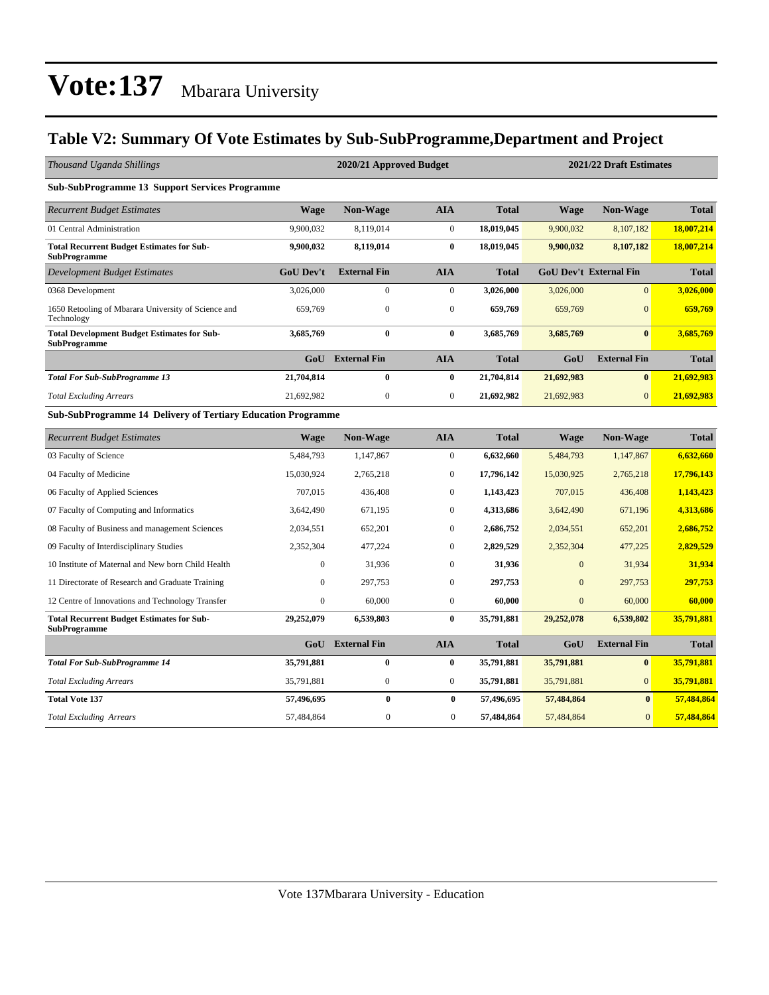#### **Table V2: Summary Of Vote Estimates by Sub-SubProgramme,Department and Project**

| Thousand Uganda Shillings                                                 |                  | 2020/21 Approved Budget |                  |              |              | 2021/22 Draft Estimates       |              |  |  |  |
|---------------------------------------------------------------------------|------------------|-------------------------|------------------|--------------|--------------|-------------------------------|--------------|--|--|--|
| <b>Sub-SubProgramme 13 Support Services Programme</b>                     |                  |                         |                  |              |              |                               |              |  |  |  |
| <b>Recurrent Budget Estimates</b>                                         | <b>Wage</b>      | <b>Non-Wage</b>         | <b>AIA</b>       | <b>Total</b> | <b>Wage</b>  | <b>Non-Wage</b>               | <b>Total</b> |  |  |  |
| 01 Central Administration                                                 | 9,900,032        | 8,119,014               | $\overline{0}$   | 18,019,045   | 9,900,032    | 8,107,182                     | 18,007,214   |  |  |  |
| <b>Total Recurrent Budget Estimates for Sub-</b><br><b>SubProgramme</b>   | 9,900,032        | 8,119,014               | $\bf{0}$         | 18,019,045   | 9,900,032    | 8,107,182                     | 18,007,214   |  |  |  |
| <b>Development Budget Estimates</b>                                       | <b>GoU</b> Dev't | <b>External Fin</b>     | <b>AIA</b>       | <b>Total</b> |              | <b>GoU Dev't External Fin</b> | <b>Total</b> |  |  |  |
| 0368 Development                                                          | 3,026,000        | $\boldsymbol{0}$        | $\boldsymbol{0}$ | 3,026,000    | 3,026,000    | $\mathbf{0}$                  | 3,026,000    |  |  |  |
| 1650 Retooling of Mbarara University of Science and<br>Technology         | 659,769          | $\mathbf{0}$            | $\boldsymbol{0}$ | 659,769      | 659,769      | $\mathbf{0}$                  | 659,769      |  |  |  |
| <b>Total Development Budget Estimates for Sub-</b><br><b>SubProgramme</b> | 3,685,769        | $\bf{0}$                | $\bf{0}$         | 3,685,769    | 3,685,769    | $\bf{0}$                      | 3,685,769    |  |  |  |
|                                                                           | GoU              | <b>External Fin</b>     | <b>AIA</b>       | <b>Total</b> | GoU          | <b>External Fin</b>           | <b>Total</b> |  |  |  |
| <b>Total For Sub-SubProgramme 13</b>                                      | 21,704,814       | $\bf{0}$                | $\bf{0}$         | 21,704,814   | 21,692,983   | $\bf{0}$                      | 21,692,983   |  |  |  |
| <b>Total Excluding Arrears</b>                                            | 21,692,982       | $\boldsymbol{0}$        | $\boldsymbol{0}$ | 21,692,982   | 21,692,983   | $\overline{0}$                | 21,692,983   |  |  |  |
| <b>Sub-SubProgramme 14 Delivery of Tertiary Education Programme</b>       |                  |                         |                  |              |              |                               |              |  |  |  |
| <b>Recurrent Budget Estimates</b>                                         | <b>Wage</b>      | Non-Wage                | <b>AIA</b>       | <b>Total</b> | <b>Wage</b>  | Non-Wage                      | <b>Total</b> |  |  |  |
| 03 Faculty of Science                                                     | 5,484,793        | 1,147,867               | $\overline{0}$   | 6,632,660    | 5,484,793    | 1,147,867                     | 6,632,660    |  |  |  |
| 04 Faculty of Medicine                                                    | 15,030,924       | 2,765,218               | $\overline{0}$   | 17,796,142   | 15,030,925   | 2,765,218                     | 17,796,143   |  |  |  |
| 06 Faculty of Applied Sciences                                            | 707,015          | 436,408                 | $\mathbf{0}$     | 1,143,423    | 707,015      | 436,408                       | 1,143,423    |  |  |  |
| 07 Faculty of Computing and Informatics                                   | 3,642,490        | 671,195                 | $\overline{0}$   | 4,313,686    | 3,642,490    | 671,196                       | 4,313,686    |  |  |  |
| 08 Faculty of Business and management Sciences                            | 2,034,551        | 652,201                 | $\overline{0}$   | 2,686,752    | 2,034,551    | 652,201                       | 2,686,752    |  |  |  |
| 09 Faculty of Interdisciplinary Studies                                   | 2,352,304        | 477,224                 | $\Omega$         | 2,829,529    | 2,352,304    | 477,225                       | 2,829,529    |  |  |  |
| 10 Institute of Maternal and New born Child Health                        | $\mathbf{0}$     | 31,936                  | $\mathbf{0}$     | 31,936       | $\mathbf{0}$ | 31,934                        | 31,934       |  |  |  |
| 11 Directorate of Research and Graduate Training                          | $\mathbf{0}$     | 297,753                 | $\overline{0}$   | 297,753      | $\mathbf{0}$ | 297,753                       | 297,753      |  |  |  |
| 12 Centre of Innovations and Technology Transfer                          | $\boldsymbol{0}$ | 60,000                  | $\boldsymbol{0}$ | 60,000       | $\mathbf{0}$ | 60,000                        | 60,000       |  |  |  |
| <b>Total Recurrent Budget Estimates for Sub-</b><br><b>SubProgramme</b>   | 29,252,079       | 6,539,803               | $\bf{0}$         | 35,791,881   | 29,252,078   | 6,539,802                     | 35,791,881   |  |  |  |
|                                                                           | GoU              | <b>External Fin</b>     | <b>AIA</b>       | <b>Total</b> | GoU          | <b>External Fin</b>           | <b>Total</b> |  |  |  |
| <b>Total For Sub-SubProgramme 14</b>                                      | 35,791,881       | $\bf{0}$                | $\bf{0}$         | 35,791,881   | 35,791,881   | $\bf{0}$                      | 35,791,881   |  |  |  |
| <b>Total Excluding Arrears</b>                                            | 35,791,881       | $\boldsymbol{0}$        | $\boldsymbol{0}$ | 35,791,881   | 35,791,881   | $\mathbf{0}$                  | 35,791,881   |  |  |  |
| <b>Total Vote 137</b>                                                     | 57,496,695       | $\bf{0}$                | $\bf{0}$         | 57,496,695   | 57,484,864   | $\bf{0}$                      | 57,484,864   |  |  |  |
| <b>Total Excluding Arrears</b>                                            | 57,484,864       | $\mathbf{0}$            | $\mathbf{0}$     | 57,484,864   | 57,484,864   | $\overline{0}$                | 57,484,864   |  |  |  |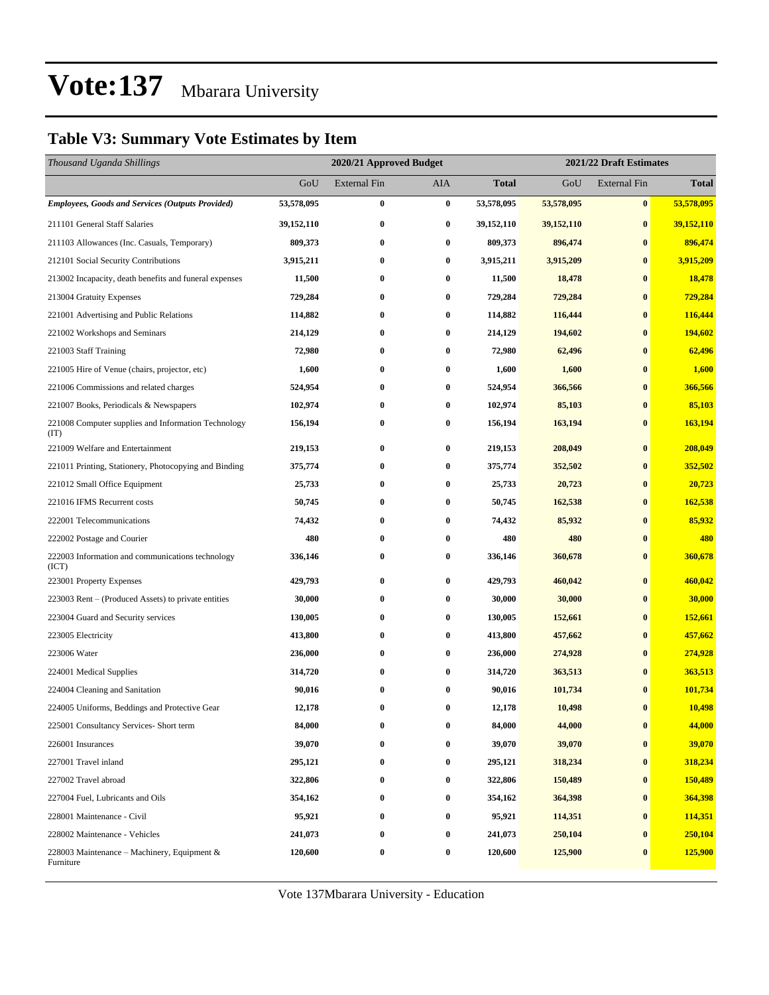#### **Table V3: Summary Vote Estimates by Item**

| Thousand Uganda Shillings                                   |              | 2020/21 Approved Budget |          |              | 2021/22 Draft Estimates |                     |              |  |
|-------------------------------------------------------------|--------------|-------------------------|----------|--------------|-------------------------|---------------------|--------------|--|
|                                                             | GoU          | <b>External Fin</b>     | AIA      | <b>Total</b> | GoU                     | <b>External Fin</b> | <b>Total</b> |  |
| <b>Employees, Goods and Services (Outputs Provided)</b>     | 53,578,095   | $\bf{0}$                | $\bf{0}$ | 53,578,095   | 53,578,095              | $\bf{0}$            | 53,578,095   |  |
| 211101 General Staff Salaries                               | 39, 152, 110 | $\bf{0}$                | $\bf{0}$ | 39, 152, 110 | 39,152,110              | $\bf{0}$            | 39,152,110   |  |
| 211103 Allowances (Inc. Casuals, Temporary)                 | 809,373      | $\bf{0}$                | $\bf{0}$ | 809,373      | 896,474                 | $\bf{0}$            | 896,474      |  |
| 212101 Social Security Contributions                        | 3,915,211    | $\bf{0}$                | $\bf{0}$ | 3,915,211    | 3,915,209               | $\bf{0}$            | 3,915,209    |  |
| 213002 Incapacity, death benefits and funeral expenses      | 11,500       | $\bf{0}$                | $\bf{0}$ | 11,500       | 18,478                  | $\bf{0}$            | 18,478       |  |
| 213004 Gratuity Expenses                                    | 729,284      | $\bf{0}$                | $\bf{0}$ | 729,284      | 729,284                 | $\bf{0}$            | 729,284      |  |
| 221001 Advertising and Public Relations                     | 114,882      | $\bf{0}$                | $\bf{0}$ | 114,882      | 116,444                 | $\bf{0}$            | 116,444      |  |
| 221002 Workshops and Seminars                               | 214,129      | $\bf{0}$                | $\bf{0}$ | 214,129      | 194,602                 | $\bf{0}$            | 194,602      |  |
| 221003 Staff Training                                       | 72,980       | $\bf{0}$                | 0        | 72,980       | 62,496                  | $\bf{0}$            | 62,496       |  |
| 221005 Hire of Venue (chairs, projector, etc)               | 1,600        | $\bf{0}$                | $\bf{0}$ | 1,600        | 1,600                   | $\bf{0}$            | 1,600        |  |
| 221006 Commissions and related charges                      | 524,954      | $\bf{0}$                | $\bf{0}$ | 524,954      | 366,566                 | $\bf{0}$            | 366,566      |  |
| 221007 Books, Periodicals & Newspapers                      | 102,974      | $\bf{0}$                | $\bf{0}$ | 102,974      | 85,103                  | $\bf{0}$            | 85,103       |  |
| 221008 Computer supplies and Information Technology<br>(TT) | 156,194      | $\bf{0}$                | $\bf{0}$ | 156,194      | 163,194                 | $\bf{0}$            | 163,194      |  |
| 221009 Welfare and Entertainment                            | 219,153      | $\bf{0}$                | $\bf{0}$ | 219,153      | 208,049                 | $\bf{0}$            | 208,049      |  |
| 221011 Printing, Stationery, Photocopying and Binding       | 375,774      | $\bf{0}$                | 0        | 375,774      | 352,502                 | $\bf{0}$            | 352,502      |  |
| 221012 Small Office Equipment                               | 25,733       | $\bf{0}$                | $\bf{0}$ | 25,733       | 20,723                  | $\bf{0}$            | 20,723       |  |
| 221016 IFMS Recurrent costs                                 | 50,745       | $\bf{0}$                | 0        | 50,745       | 162,538                 | $\bf{0}$            | 162,538      |  |
| 222001 Telecommunications                                   | 74,432       | $\bf{0}$                | 0        | 74,432       | 85,932                  | $\bf{0}$            | 85,932       |  |
| 222002 Postage and Courier                                  | 480          | $\bf{0}$                | $\bf{0}$ | 480          | 480                     | $\bf{0}$            | 480          |  |
| 222003 Information and communications technology<br>(ICT)   | 336,146      | $\bf{0}$                | 0        | 336,146      | 360,678                 | $\bf{0}$            | 360,678      |  |
| 223001 Property Expenses                                    | 429,793      | $\bf{0}$                | $\bf{0}$ | 429,793      | 460,042                 | $\bf{0}$            | 460,042      |  |
| 223003 Rent – (Produced Assets) to private entities         | 30,000       | $\bf{0}$                | $\bf{0}$ | 30,000       | 30,000                  | $\bf{0}$            | 30,000       |  |
| 223004 Guard and Security services                          | 130,005      | $\bf{0}$                | 0        | 130,005      | 152,661                 | $\bf{0}$            | 152,661      |  |
| 223005 Electricity                                          | 413,800      | $\bf{0}$                | 0        | 413,800      | 457,662                 | $\bf{0}$            | 457,662      |  |
| 223006 Water                                                | 236,000      | $\bf{0}$                | $\bf{0}$ | 236,000      | 274,928                 | $\bf{0}$            | 274,928      |  |
| 224001 Medical Supplies                                     | 314,720      | $\bf{0}$                | $\bf{0}$ | 314,720      | 363,513                 | $\bf{0}$            | 363,513      |  |
| 224004 Cleaning and Sanitation                              | 90,016       | $\bf{0}$                | $\bf{0}$ | 90,016       | 101,734                 | $\bf{0}$            | 101,734      |  |
| 224005 Uniforms, Beddings and Protective Gear               | 12,178       | $\bf{0}$                | 0        | 12,178       | 10,498                  | $\bf{0}$            | 10,498       |  |
| 225001 Consultancy Services- Short term                     | 84,000       | $\bf{0}$                | $\bf{0}$ | 84,000       | 44,000                  | $\bf{0}$            | 44,000       |  |
| 226001 Insurances                                           | 39,070       | $\bf{0}$                | $\bf{0}$ | 39,070       | 39,070                  | $\bf{0}$            | 39,070       |  |
| 227001 Travel inland                                        | 295,121      | $\bf{0}$                | $\bf{0}$ | 295,121      | 318,234                 | $\bf{0}$            | 318,234      |  |
| 227002 Travel abroad                                        | 322,806      | $\bf{0}$                | $\bf{0}$ | 322,806      | 150,489                 | $\bf{0}$            | 150,489      |  |
| 227004 Fuel, Lubricants and Oils                            | 354,162      | $\bf{0}$                | $\bf{0}$ | 354,162      | 364,398                 | $\bf{0}$            | 364,398      |  |
| 228001 Maintenance - Civil                                  | 95,921       | $\bf{0}$                | $\bf{0}$ | 95,921       | 114,351                 | $\bf{0}$            | 114,351      |  |
| 228002 Maintenance - Vehicles                               | 241,073      | $\bf{0}$                | $\bf{0}$ | 241,073      | 250,104                 | $\bf{0}$            | 250,104      |  |
| 228003 Maintenance – Machinery, Equipment $\&$<br>Furniture | 120,600      | $\bf{0}$                | $\bf{0}$ | 120,600      | 125,900                 | $\bf{0}$            | 125,900      |  |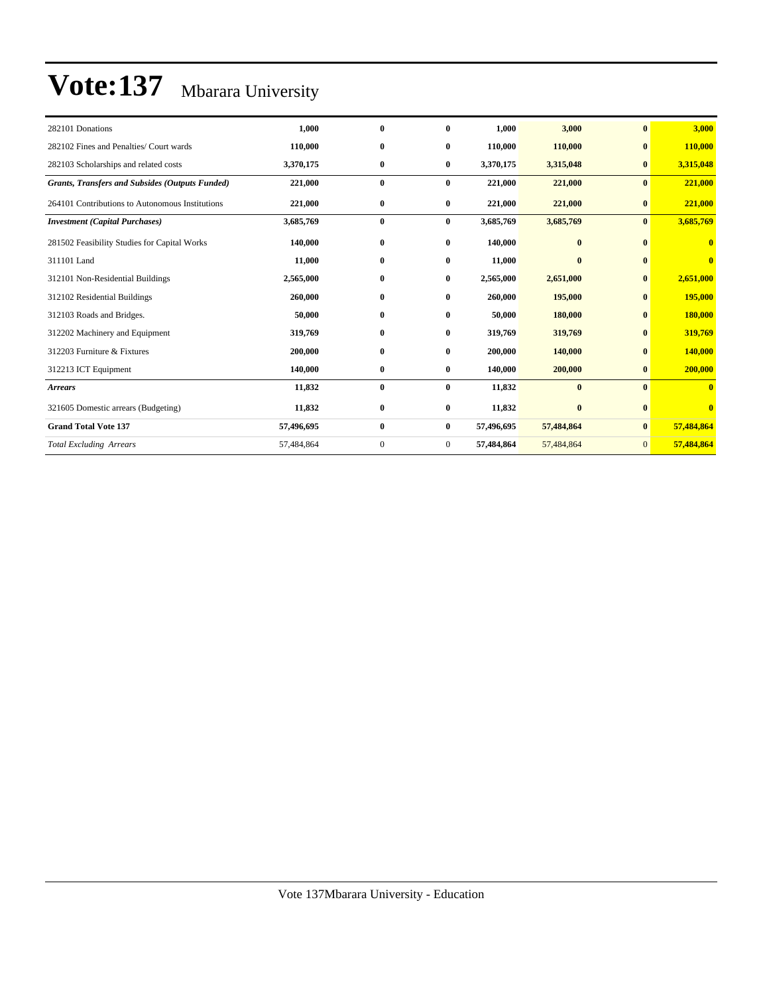| 282101 Donations                                       | 1,000      | $\bf{0}$     | $\bf{0}$       | 1,000      | 3,000      | $\mathbf{0}$   | 3,000                   |
|--------------------------------------------------------|------------|--------------|----------------|------------|------------|----------------|-------------------------|
| 282102 Fines and Penalties/ Court wards                | 110,000    | $\bf{0}$     | $\bf{0}$       | 110,000    | 110,000    | $\bf{0}$       | 110,000                 |
| 282103 Scholarships and related costs                  | 3,370,175  | $\bf{0}$     | $\bf{0}$       | 3,370,175  | 3,315,048  | $\bf{0}$       | 3,315,048               |
| <b>Grants, Transfers and Subsides (Outputs Funded)</b> | 221,000    | $\bf{0}$     | $\bf{0}$       | 221,000    | 221,000    | $\bf{0}$       | 221,000                 |
| 264101 Contributions to Autonomous Institutions        | 221,000    | $\bf{0}$     | $\bf{0}$       | 221,000    | 221,000    | $\bf{0}$       | 221,000                 |
| <b>Investment</b> (Capital Purchases)                  | 3,685,769  | $\bf{0}$     | $\bf{0}$       | 3,685,769  | 3,685,769  | $\bf{0}$       | 3,685,769               |
| 281502 Feasibility Studies for Capital Works           | 140,000    | $\bf{0}$     | $\bf{0}$       | 140,000    | $\bf{0}$   | $\mathbf{0}$   | $\bf{0}$                |
| 311101 Land                                            | 11,000     | $\bf{0}$     | $\bf{0}$       | 11,000     | $\bf{0}$   | $\mathbf{0}$   | $\overline{\mathbf{0}}$ |
| 312101 Non-Residential Buildings                       | 2,565,000  | $\bf{0}$     | $\bf{0}$       | 2,565,000  | 2,651,000  | $\bf{0}$       | 2,651,000               |
| 312102 Residential Buildings                           | 260,000    | $\bf{0}$     | $\bf{0}$       | 260,000    | 195,000    | $\mathbf{0}$   | 195,000                 |
| 312103 Roads and Bridges.                              | 50,000     | $\bf{0}$     | $\bf{0}$       | 50,000     | 180,000    | $\bf{0}$       | 180,000                 |
| 312202 Machinery and Equipment                         | 319,769    | $\bf{0}$     | $\bf{0}$       | 319,769    | 319,769    | $\bf{0}$       | 319,769                 |
| 312203 Furniture & Fixtures                            | 200,000    | $\bf{0}$     | $\bf{0}$       | 200,000    | 140,000    | $\bf{0}$       | 140,000                 |
| 312213 ICT Equipment                                   | 140,000    | $\bf{0}$     | $\bf{0}$       | 140,000    | 200,000    | $\bf{0}$       | 200,000                 |
| <b>Arrears</b>                                         | 11,832     | $\bf{0}$     | $\bf{0}$       | 11,832     | $\bf{0}$   | $\mathbf{0}$   | $\overline{\mathbf{0}}$ |
| 321605 Domestic arrears (Budgeting)                    | 11,832     | $\bf{0}$     | $\bf{0}$       | 11,832     | $\bf{0}$   | $\mathbf{0}$   | $\mathbf{0}$            |
| <b>Grand Total Vote 137</b>                            | 57,496,695 | $\bf{0}$     | $\bf{0}$       | 57,496,695 | 57,484,864 | $\bf{0}$       | 57,484,864              |
| <b>Total Excluding Arrears</b>                         | 57,484,864 | $\mathbf{0}$ | $\overline{0}$ | 57,484,864 | 57,484,864 | $\overline{0}$ | 57,484,864              |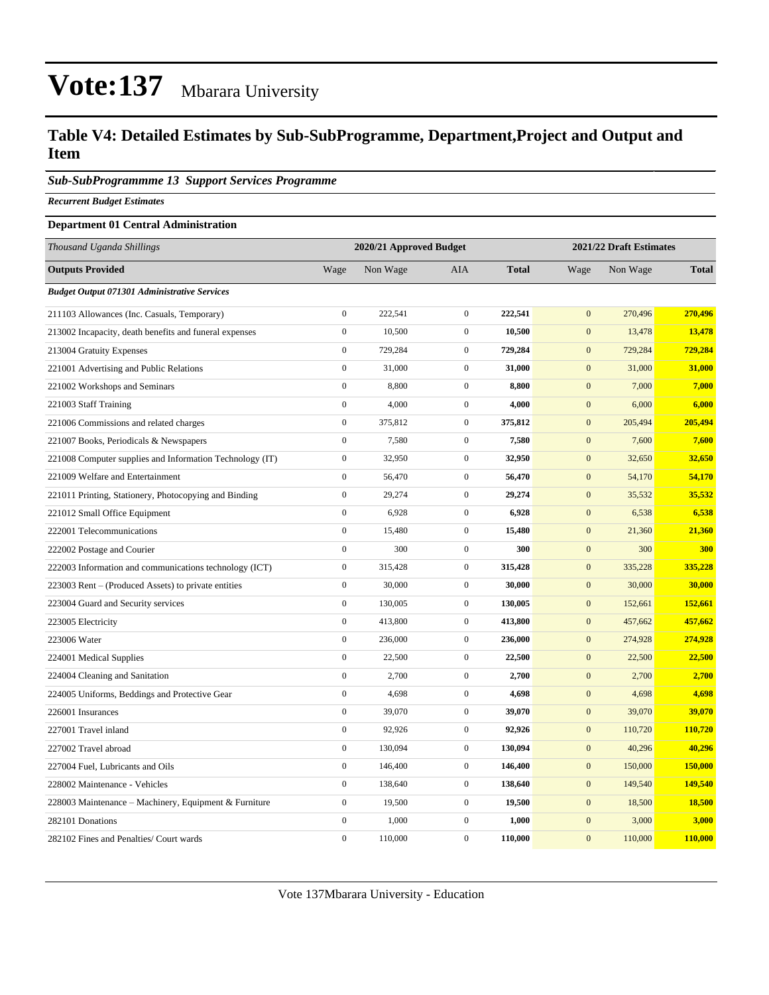#### **Table V4: Detailed Estimates by Sub-SubProgramme, Department,Project and Output and Item**

#### *Sub-SubProgrammme 13 Support Services Programme*

*Recurrent Budget Estimates*

#### **Department 01 Central Administration**

| Thousand Uganda Shillings                                |                  | 2020/21 Approved Budget |                  |              | 2021/22 Draft Estimates |          |              |
|----------------------------------------------------------|------------------|-------------------------|------------------|--------------|-------------------------|----------|--------------|
| <b>Outputs Provided</b>                                  | Wage             | Non Wage                | AIA              | <b>Total</b> | Wage                    | Non Wage | <b>Total</b> |
| <b>Budget Output 071301 Administrative Services</b>      |                  |                         |                  |              |                         |          |              |
| 211103 Allowances (Inc. Casuals, Temporary)              | $\overline{0}$   | 222,541                 | $\mathbf{0}$     | 222,541      | $\overline{0}$          | 270,496  | 270,496      |
| 213002 Incapacity, death benefits and funeral expenses   | $\boldsymbol{0}$ | 10,500                  | $\boldsymbol{0}$ | 10,500       | $\mathbf{0}$            | 13,478   | 13,478       |
| 213004 Gratuity Expenses                                 | $\boldsymbol{0}$ | 729,284                 | $\mathbf{0}$     | 729,284      | $\mathbf{0}$            | 729,284  | 729,284      |
| 221001 Advertising and Public Relations                  | $\boldsymbol{0}$ | 31,000                  | $\mathbf{0}$     | 31,000       | $\mathbf{0}$            | 31,000   | 31,000       |
| 221002 Workshops and Seminars                            | $\boldsymbol{0}$ | 8,800                   | $\mathbf{0}$     | 8,800        | $\mathbf{0}$            | 7,000    | 7,000        |
| 221003 Staff Training                                    | $\overline{0}$   | 4,000                   | $\mathbf{0}$     | 4,000        | $\mathbf 0$             | 6,000    | 6,000        |
| 221006 Commissions and related charges                   | $\overline{0}$   | 375,812                 | $\mathbf{0}$     | 375,812      | $\mathbf{0}$            | 205,494  | 205,494      |
| 221007 Books, Periodicals & Newspapers                   | $\boldsymbol{0}$ | 7,580                   | $\boldsymbol{0}$ | 7,580        | $\mathbf{0}$            | 7,600    | 7,600        |
| 221008 Computer supplies and Information Technology (IT) | $\boldsymbol{0}$ | 32,950                  | $\mathbf{0}$     | 32,950       | $\mathbf{0}$            | 32,650   | 32,650       |
| 221009 Welfare and Entertainment                         | $\boldsymbol{0}$ | 56,470                  | $\boldsymbol{0}$ | 56,470       | $\mathbf{0}$            | 54,170   | 54,170       |
| 221011 Printing, Stationery, Photocopying and Binding    | $\boldsymbol{0}$ | 29,274                  | $\mathbf{0}$     | 29,274       | $\boldsymbol{0}$        | 35,532   | 35,532       |
| 221012 Small Office Equipment                            | $\boldsymbol{0}$ | 6,928                   | $\boldsymbol{0}$ | 6,928        | $\boldsymbol{0}$        | 6,538    | 6,538        |
| 222001 Telecommunications                                | $\overline{0}$   | 15,480                  | $\mathbf{0}$     | 15,480       | $\mathbf{0}$            | 21,360   | 21,360       |
| 222002 Postage and Courier                               | $\boldsymbol{0}$ | 300                     | $\mathbf{0}$     | 300          | $\mathbf{0}$            | 300      | 300          |
| 222003 Information and communications technology (ICT)   | $\boldsymbol{0}$ | 315,428                 | $\mathbf{0}$     | 315,428      | $\mathbf{0}$            | 335,228  | 335,228      |
| 223003 Rent – (Produced Assets) to private entities      | $\boldsymbol{0}$ | 30,000                  | $\mathbf{0}$     | 30,000       | $\mathbf{0}$            | 30,000   | 30,000       |
| 223004 Guard and Security services                       | $\overline{0}$   | 130,005                 | $\mathbf{0}$     | 130,005      | $\mathbf{0}$            | 152,661  | 152,661      |
| 223005 Electricity                                       | $\overline{0}$   | 413,800                 | $\mathbf{0}$     | 413,800      | $\mathbf{0}$            | 457,662  | 457,662      |
| 223006 Water                                             | $\boldsymbol{0}$ | 236,000                 | $\boldsymbol{0}$ | 236,000      | $\mathbf{0}$            | 274,928  | 274,928      |
| 224001 Medical Supplies                                  | $\boldsymbol{0}$ | 22,500                  | $\boldsymbol{0}$ | 22,500       | $\mathbf{0}$            | 22,500   | 22,500       |
| 224004 Cleaning and Sanitation                           | $\boldsymbol{0}$ | 2,700                   | $\mathbf{0}$     | 2,700        | $\mathbf{0}$            | 2,700    | 2,700        |
| 224005 Uniforms, Beddings and Protective Gear            | $\boldsymbol{0}$ | 4,698                   | $\mathbf{0}$     | 4,698        | $\mathbf{0}$            | 4,698    | 4,698        |
| 226001 Insurances                                        | $\overline{0}$   | 39,070                  | $\mathbf{0}$     | 39,070       | $\mathbf{0}$            | 39,070   | 39,070       |
| 227001 Travel inland                                     | $\overline{0}$   | 92,926                  | $\mathbf{0}$     | 92,926       | $\mathbf{0}$            | 110,720  | 110,720      |
| 227002 Travel abroad                                     | $\overline{0}$   | 130,094                 | $\mathbf{0}$     | 130,094      | $\mathbf{0}$            | 40,296   | 40,296       |
| 227004 Fuel, Lubricants and Oils                         | $\boldsymbol{0}$ | 146,400                 | $\mathbf{0}$     | 146,400      | $\mathbf{0}$            | 150,000  | 150,000      |
| 228002 Maintenance - Vehicles                            | $\boldsymbol{0}$ | 138,640                 | $\mathbf{0}$     | 138,640      | $\mathbf{0}$            | 149,540  | 149,540      |
| 228003 Maintenance – Machinery, Equipment & Furniture    | $\boldsymbol{0}$ | 19,500                  | $\mathbf{0}$     | 19,500       | $\boldsymbol{0}$        | 18,500   | 18,500       |
| 282101 Donations                                         | $\overline{0}$   | 1,000                   | $\mathbf{0}$     | 1,000        | $\mathbf{0}$            | 3,000    | 3,000        |
| 282102 Fines and Penalties/ Court wards                  | $\theta$         | 110,000                 | $\mathbf{0}$     | 110,000      | $\overline{0}$          | 110,000  | 110,000      |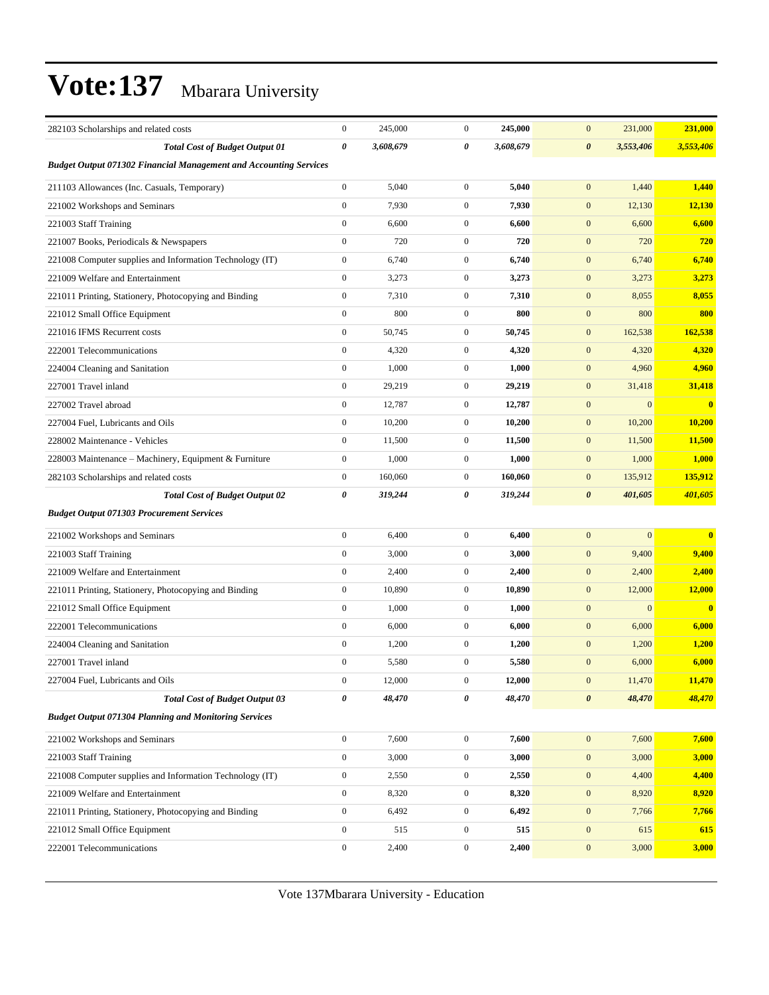| 282103 Scholarships and related costs                                    | $\boldsymbol{0}$ | 245,000   | $\mathbf{0}$     | 245,000   | $\mathbf{0}$<br>231,000            | 231,000   |
|--------------------------------------------------------------------------|------------------|-----------|------------------|-----------|------------------------------------|-----------|
| <b>Total Cost of Budget Output 01</b>                                    | $\pmb{\theta}$   | 3,608,679 | 0                | 3,608,679 | $\boldsymbol{\theta}$<br>3,553,406 | 3,553,406 |
| <b>Budget Output 071302 Financial Management and Accounting Services</b> |                  |           |                  |           |                                    |           |
| 211103 Allowances (Inc. Casuals, Temporary)                              | $\mathbf{0}$     | 5,040     | $\mathbf{0}$     | 5,040     | 1,440<br>$\mathbf{0}$              | 1,440     |
| 221002 Workshops and Seminars                                            | $\mathbf{0}$     | 7,930     | $\boldsymbol{0}$ | 7,930     | $\boldsymbol{0}$<br>12,130         | 12,130    |
| 221003 Staff Training                                                    | $\boldsymbol{0}$ | 6,600     | $\mathbf{0}$     | 6,600     | $\boldsymbol{0}$<br>6,600          | 6,600     |
| 221007 Books, Periodicals & Newspapers                                   | $\boldsymbol{0}$ | 720       | $\boldsymbol{0}$ | 720       | $\mathbf{0}$<br>720                | 720       |
| 221008 Computer supplies and Information Technology (IT)                 | $\boldsymbol{0}$ | 6,740     | $\boldsymbol{0}$ | 6,740     | $\mathbf{0}$<br>6,740              | 6,740     |
| 221009 Welfare and Entertainment                                         | $\boldsymbol{0}$ | 3,273     | $\mathbf{0}$     | 3,273     | $\mathbf{0}$<br>3,273              | 3,273     |
| 221011 Printing, Stationery, Photocopying and Binding                    | $\boldsymbol{0}$ | 7,310     | $\mathbf{0}$     | 7,310     | $\boldsymbol{0}$<br>8,055          | 8,055     |
| 221012 Small Office Equipment                                            | $\boldsymbol{0}$ | 800       | $\mathbf{0}$     | 800       | $\mathbf{0}$<br>800                | 800       |
| 221016 IFMS Recurrent costs                                              | $\boldsymbol{0}$ | 50,745    | $\boldsymbol{0}$ | 50,745    | $\mathbf{0}$<br>162,538            | 162,538   |
| 222001 Telecommunications                                                | $\boldsymbol{0}$ | 4,320     | $\mathbf{0}$     | 4,320     | $\mathbf{0}$<br>4,320              | 4,320     |
| 224004 Cleaning and Sanitation                                           | $\boldsymbol{0}$ | 1,000     | $\mathbf{0}$     | 1,000     | $\mathbf{0}$<br>4,960              | 4,960     |
| 227001 Travel inland                                                     | $\boldsymbol{0}$ | 29,219    | $\mathbf{0}$     | 29,219    | $\boldsymbol{0}$<br>31,418         | 31,418    |
| 227002 Travel abroad                                                     | $\boldsymbol{0}$ | 12,787    | $\mathbf{0}$     | 12,787    | $\boldsymbol{0}$<br>$\overline{0}$ | $\bf{0}$  |
| 227004 Fuel, Lubricants and Oils                                         | $\boldsymbol{0}$ | 10,200    | $\boldsymbol{0}$ | 10,200    | $\mathbf{0}$<br>10,200             | 10,200    |
| 228002 Maintenance - Vehicles                                            | $\boldsymbol{0}$ | 11,500    | $\mathbf{0}$     | 11,500    | $\mathbf{0}$<br>11,500             | 11,500    |
| 228003 Maintenance - Machinery, Equipment & Furniture                    | $\boldsymbol{0}$ | 1,000     | $\mathbf{0}$     | 1,000     | $\mathbf{0}$<br>1,000              | 1,000     |
| 282103 Scholarships and related costs                                    | $\boldsymbol{0}$ | 160,060   | $\mathbf{0}$     | 160,060   | $\boldsymbol{0}$<br>135,912        | 135,912   |
| <b>Total Cost of Budget Output 02</b>                                    | 0                | 319,244   | 0                | 319,244   | $\boldsymbol{\theta}$<br>401,605   | 401,605   |
| <b>Budget Output 071303 Procurement Services</b>                         |                  |           |                  |           |                                    |           |
| 221002 Workshops and Seminars                                            | $\boldsymbol{0}$ | 6,400     | $\boldsymbol{0}$ | 6,400     | $\mathbf{0}$<br>$\overline{0}$     | $\bf{0}$  |
| 221003 Staff Training                                                    | $\boldsymbol{0}$ | 3,000     | $\boldsymbol{0}$ | 3,000     | $\boldsymbol{0}$<br>9,400          | 9,400     |
| 221009 Welfare and Entertainment                                         | $\boldsymbol{0}$ | 2,400     | $\mathbf{0}$     | 2,400     | $\boldsymbol{0}$<br>2,400          | 2,400     |
| 221011 Printing, Stationery, Photocopying and Binding                    | $\boldsymbol{0}$ | 10,890    | $\mathbf{0}$     | 10,890    | $\boldsymbol{0}$<br>12,000         | 12,000    |
| 221012 Small Office Equipment                                            | $\boldsymbol{0}$ | 1,000     | $\mathbf{0}$     | 1,000     | $\mathbf{0}$<br>$\overline{0}$     | $\bf{0}$  |
| 222001 Telecommunications                                                | $\boldsymbol{0}$ | 6,000     | $\boldsymbol{0}$ | 6,000     | $\mathbf{0}$<br>6,000              | 6,000     |
| 224004 Cleaning and Sanitation                                           | $\boldsymbol{0}$ | 1,200     | $\mathbf{0}$     | 1,200     | $\mathbf{0}$<br>1,200              | 1,200     |
| 227001 Travel inland                                                     | $\boldsymbol{0}$ | 5,580     | $\mathbf{0}$     | 5,580     | $\mathbf{0}$<br>6,000              | 6,000     |
| 227004 Fuel, Lubricants and Oils                                         | $\boldsymbol{0}$ | 12,000    | $\boldsymbol{0}$ | 12,000    | $\mathbf{0}$<br>11,470             | 11,470    |
| <b>Total Cost of Budget Output 03</b>                                    | 0                | 48,470    | 0                | 48,470    | $\boldsymbol{\theta}$<br>48,470    | 48,470    |
| <b>Budget Output 071304 Planning and Monitoring Services</b>             |                  |           |                  |           |                                    |           |
| 221002 Workshops and Seminars                                            | $\boldsymbol{0}$ | 7,600     | $\boldsymbol{0}$ | 7,600     | $\boldsymbol{0}$<br>7,600          | 7,600     |
| 221003 Staff Training                                                    | $\boldsymbol{0}$ | 3,000     | $\boldsymbol{0}$ | 3,000     | $\boldsymbol{0}$<br>3,000          | 3,000     |
| 221008 Computer supplies and Information Technology (IT)                 | $\boldsymbol{0}$ | 2,550     | $\boldsymbol{0}$ | 2,550     | $\boldsymbol{0}$<br>4,400          | 4,400     |
| 221009 Welfare and Entertainment                                         | $\boldsymbol{0}$ | 8,320     | $\boldsymbol{0}$ | 8,320     | $\boldsymbol{0}$<br>8,920          | 8,920     |
| 221011 Printing, Stationery, Photocopying and Binding                    | $\boldsymbol{0}$ | 6,492     | $\mathbf{0}$     | 6,492     | $\boldsymbol{0}$<br>7,766          | 7,766     |
| 221012 Small Office Equipment                                            | $\mathbf{0}$     | 515       | $\boldsymbol{0}$ | 515       | $\boldsymbol{0}$<br>615            | 615       |
| 222001 Telecommunications                                                | $\boldsymbol{0}$ | 2,400     | $\boldsymbol{0}$ | 2,400     | $\boldsymbol{0}$<br>3,000          | 3,000     |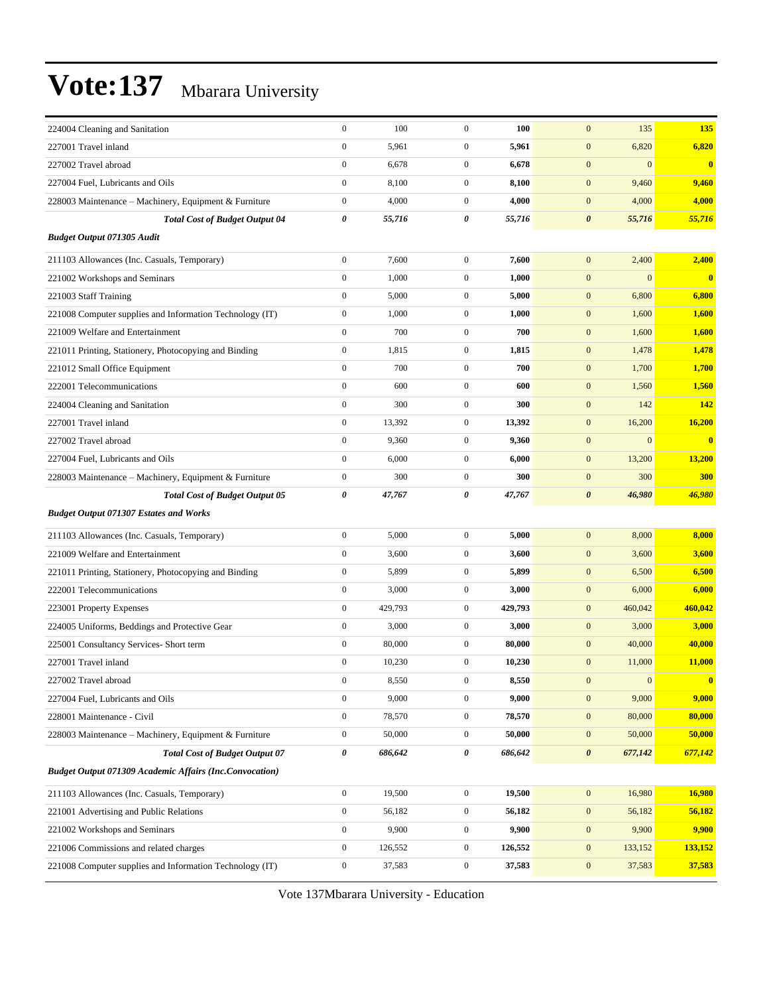| 224004 Cleaning and Sanitation                                 | $\boldsymbol{0}$      | 100     | $\boldsymbol{0}$ | 100     | $\mathbf{0}$          | 135              | 135          |
|----------------------------------------------------------------|-----------------------|---------|------------------|---------|-----------------------|------------------|--------------|
| 227001 Travel inland                                           | $\boldsymbol{0}$      | 5,961   | $\boldsymbol{0}$ | 5,961   | $\boldsymbol{0}$      | 6,820            | 6,820        |
| 227002 Travel abroad                                           | $\boldsymbol{0}$      | 6,678   | $\boldsymbol{0}$ | 6,678   | $\boldsymbol{0}$      | $\boldsymbol{0}$ | $\mathbf{0}$ |
| 227004 Fuel, Lubricants and Oils                               | $\boldsymbol{0}$      | 8,100   | $\boldsymbol{0}$ | 8,100   | $\boldsymbol{0}$      | 9,460            | 9,460        |
| 228003 Maintenance - Machinery, Equipment & Furniture          | $\boldsymbol{0}$      | 4,000   | $\boldsymbol{0}$ | 4,000   | $\mathbf{0}$          | 4,000            | 4,000        |
| <b>Total Cost of Budget Output 04</b>                          | $\boldsymbol{\theta}$ | 55,716  | 0                | 55,716  | $\boldsymbol{\theta}$ | 55,716           | 55,716       |
| <b>Budget Output 071305 Audit</b>                              |                       |         |                  |         |                       |                  |              |
| 211103 Allowances (Inc. Casuals, Temporary)                    | $\boldsymbol{0}$      | 7,600   | $\boldsymbol{0}$ | 7,600   | $\mathbf{0}$          | 2,400            | 2,400        |
| 221002 Workshops and Seminars                                  | $\boldsymbol{0}$      | 1,000   | $\boldsymbol{0}$ | 1,000   | $\boldsymbol{0}$      | $\overline{0}$   | $\mathbf{0}$ |
| 221003 Staff Training                                          | $\boldsymbol{0}$      | 5,000   | $\boldsymbol{0}$ | 5,000   | $\boldsymbol{0}$      | 6,800            | 6,800        |
| 221008 Computer supplies and Information Technology (IT)       | $\boldsymbol{0}$      | 1,000   | $\boldsymbol{0}$ | 1,000   | $\boldsymbol{0}$      | 1,600            | 1,600        |
| 221009 Welfare and Entertainment                               | $\boldsymbol{0}$      | 700     | $\boldsymbol{0}$ | 700     | $\boldsymbol{0}$      | 1,600            | 1,600        |
| 221011 Printing, Stationery, Photocopying and Binding          | $\boldsymbol{0}$      | 1,815   | $\boldsymbol{0}$ | 1,815   | $\boldsymbol{0}$      | 1,478            | 1,478        |
| 221012 Small Office Equipment                                  | $\boldsymbol{0}$      | 700     | $\boldsymbol{0}$ | 700     | $\mathbf{0}$          | 1,700            | 1,700        |
| 222001 Telecommunications                                      | $\mathbf{0}$          | 600     | $\boldsymbol{0}$ | 600     | $\boldsymbol{0}$      | 1,560            | 1,560        |
| 224004 Cleaning and Sanitation                                 | $\mathbf{0}$          | 300     | $\boldsymbol{0}$ | 300     | $\mathbf{0}$          | 142              | 142          |
| 227001 Travel inland                                           | $\boldsymbol{0}$      | 13,392  | $\boldsymbol{0}$ | 13,392  | $\boldsymbol{0}$      | 16,200           | 16,200       |
| 227002 Travel abroad                                           | $\mathbf{0}$          | 9,360   | $\boldsymbol{0}$ | 9,360   | $\mathbf{0}$          | $\overline{0}$   | $\bf{0}$     |
| 227004 Fuel, Lubricants and Oils                               | $\boldsymbol{0}$      | 6,000   | $\boldsymbol{0}$ | 6,000   | $\mathbf{0}$          | 13,200           | 13,200       |
| 228003 Maintenance – Machinery, Equipment & Furniture          | $\boldsymbol{0}$      | 300     | $\boldsymbol{0}$ | 300     | $\boldsymbol{0}$      | 300              | 300          |
| <b>Total Cost of Budget Output 05</b>                          | 0                     | 47,767  | 0                | 47,767  | $\boldsymbol{\theta}$ | 46,980           | 46,980       |
| <b>Budget Output 071307 Estates and Works</b>                  |                       |         |                  |         |                       |                  |              |
| 211103 Allowances (Inc. Casuals, Temporary)                    | $\boldsymbol{0}$      | 5,000   | $\boldsymbol{0}$ | 5,000   | $\boldsymbol{0}$      | 8,000            | 8,000        |
| 221009 Welfare and Entertainment                               | $\boldsymbol{0}$      | 3,600   | $\boldsymbol{0}$ | 3,600   | $\mathbf{0}$          | 3,600            | 3,600        |
| 221011 Printing, Stationery, Photocopying and Binding          | $\boldsymbol{0}$      | 5,899   | $\boldsymbol{0}$ | 5,899   | $\boldsymbol{0}$      | 6,500            | 6,500        |
| 222001 Telecommunications                                      | $\boldsymbol{0}$      | 3,000   | $\boldsymbol{0}$ | 3,000   | $\boldsymbol{0}$      | 6,000            | 6,000        |
| 223001 Property Expenses                                       | $\mathbf{0}$          | 429,793 | $\boldsymbol{0}$ | 429,793 | $\mathbf{0}$          | 460,042          | 460,042      |
| 224005 Uniforms, Beddings and Protective Gear                  | $\boldsymbol{0}$      | 3,000   | $\boldsymbol{0}$ | 3,000   | $\mathbf{0}$          | 3,000            | 3,000        |
| 225001 Consultancy Services- Short term                        | $\boldsymbol{0}$      | 80,000  | $\boldsymbol{0}$ | 80,000  | $\mathbf{0}$          | 40,000           | 40,000       |
| 227001 Travel inland                                           | $\boldsymbol{0}$      | 10,230  | $\boldsymbol{0}$ | 10,230  | $\boldsymbol{0}$      | 11,000           | 11,000       |
| 227002 Travel abroad                                           | $\boldsymbol{0}$      | 8,550   | $\mathbf{0}$     | 8,550   | $\mathbf{0}$          | $\boldsymbol{0}$ |              |
| 227004 Fuel, Lubricants and Oils                               | $\boldsymbol{0}$      | 9,000   | $\boldsymbol{0}$ | 9,000   | $\boldsymbol{0}$      | 9,000            | 9,000        |
| 228001 Maintenance - Civil                                     | $\boldsymbol{0}$      | 78,570  | $\boldsymbol{0}$ | 78,570  | $\boldsymbol{0}$      | 80,000           | 80,000       |
| 228003 Maintenance – Machinery, Equipment & Furniture          | $\boldsymbol{0}$      | 50,000  | $\boldsymbol{0}$ | 50,000  | $\boldsymbol{0}$      | 50,000           | 50,000       |
| <b>Total Cost of Budget Output 07</b>                          | 0                     | 686,642 | 0                | 686,642 | $\boldsymbol{\theta}$ | 677,142          | 677,142      |
| <b>Budget Output 071309 Academic Affairs (Inc.Convocation)</b> |                       |         |                  |         |                       |                  |              |
| 211103 Allowances (Inc. Casuals, Temporary)                    | $\boldsymbol{0}$      | 19,500  | $\boldsymbol{0}$ | 19,500  | $\boldsymbol{0}$      | 16,980           | 16,980       |
| 221001 Advertising and Public Relations                        | $\boldsymbol{0}$      | 56,182  | $\boldsymbol{0}$ | 56,182  | $\mathbf{0}$          | 56,182           | 56,182       |
| 221002 Workshops and Seminars                                  | $\boldsymbol{0}$      | 9,900   | $\boldsymbol{0}$ | 9,900   | $\boldsymbol{0}$      | 9,900            | 9,900        |
| 221006 Commissions and related charges                         | $\boldsymbol{0}$      | 126,552 | $\boldsymbol{0}$ | 126,552 | $\boldsymbol{0}$      | 133,152          | 133,152      |
| 221008 Computer supplies and Information Technology (IT)       | $\boldsymbol{0}$      | 37,583  | $\boldsymbol{0}$ | 37,583  | $\boldsymbol{0}$      | 37,583           | 37,583       |
|                                                                |                       |         |                  |         |                       |                  |              |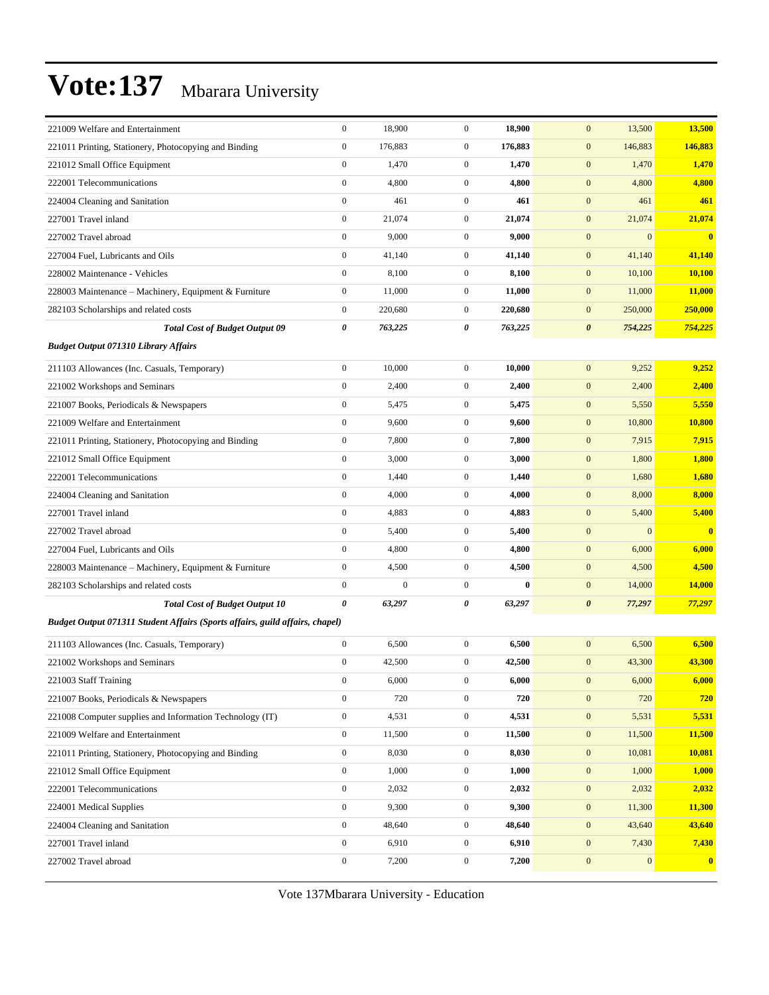| 221009 Welfare and Entertainment                                             | $\boldsymbol{0}$      | 18,900       | $\boldsymbol{0}$ | 18,900   | $\mathbf{0}$<br>13,500           | 13,500           |
|------------------------------------------------------------------------------|-----------------------|--------------|------------------|----------|----------------------------------|------------------|
| 221011 Printing, Stationery, Photocopying and Binding                        | $\boldsymbol{0}$      | 176,883      | $\boldsymbol{0}$ | 176,883  | $\mathbf{0}$<br>146,883          | 146,883          |
| 221012 Small Office Equipment                                                | $\boldsymbol{0}$      | 1,470        | $\boldsymbol{0}$ | 1,470    | 1,470<br>$\mathbf{0}$            | 1,470            |
| 222001 Telecommunications                                                    | $\boldsymbol{0}$      | 4,800        | $\boldsymbol{0}$ | 4,800    | $\mathbf{0}$<br>4,800            | 4,800            |
| 224004 Cleaning and Sanitation                                               | $\boldsymbol{0}$      | 461          | $\boldsymbol{0}$ | 461      | $\boldsymbol{0}$<br>461          | 461              |
| 227001 Travel inland                                                         | $\boldsymbol{0}$      | 21,074       | $\boldsymbol{0}$ | 21,074   | $\mathbf{0}$<br>21,074           | 21,074           |
| 227002 Travel abroad                                                         | $\boldsymbol{0}$      | 9,000        | $\boldsymbol{0}$ | 9,000    | $\mathbf{0}$<br>$\mathbf{0}$     | $\bf{0}$         |
| 227004 Fuel, Lubricants and Oils                                             | $\boldsymbol{0}$      | 41,140       | $\boldsymbol{0}$ | 41,140   | $\mathbf{0}$<br>41,140           | 41,140           |
| 228002 Maintenance - Vehicles                                                | $\boldsymbol{0}$      | 8,100        | $\boldsymbol{0}$ | 8,100    | $\mathbf{0}$<br>10,100           | <b>10,100</b>    |
| 228003 Maintenance – Machinery, Equipment & Furniture                        | $\boldsymbol{0}$      | 11,000       | $\boldsymbol{0}$ | 11,000   | $\mathbf{0}$<br>11,000           | 11,000           |
| 282103 Scholarships and related costs                                        | $\boldsymbol{0}$      | 220,680      | $\boldsymbol{0}$ | 220,680  | $\mathbf{0}$<br>250,000          | 250,000          |
| <b>Total Cost of Budget Output 09</b>                                        | $\pmb{\theta}$        | 763,225      | 0                | 763,225  | $\boldsymbol{\theta}$<br>754,225 | 754,225          |
| <b>Budget Output 071310 Library Affairs</b>                                  |                       |              |                  |          |                                  |                  |
| 211103 Allowances (Inc. Casuals, Temporary)                                  | $\boldsymbol{0}$      | 10,000       | $\boldsymbol{0}$ | 10,000   | $\mathbf{0}$<br>9,252            | 9,252            |
| 221002 Workshops and Seminars                                                | $\boldsymbol{0}$      | 2,400        | $\boldsymbol{0}$ | 2,400    | $\mathbf{0}$<br>2,400            | 2,400            |
| 221007 Books, Periodicals & Newspapers                                       | $\boldsymbol{0}$      | 5,475        | $\boldsymbol{0}$ | 5,475    | $\mathbf{0}$<br>5,550            | 5,550            |
| 221009 Welfare and Entertainment                                             | $\boldsymbol{0}$      | 9,600        | $\boldsymbol{0}$ | 9,600    | $\mathbf{0}$<br>10,800           | 10,800           |
| 221011 Printing, Stationery, Photocopying and Binding                        | $\boldsymbol{0}$      | 7,800        | $\boldsymbol{0}$ | 7,800    | $\mathbf{0}$<br>7,915            | 7,915            |
| 221012 Small Office Equipment                                                | $\boldsymbol{0}$      | 3,000        | $\boldsymbol{0}$ | 3,000    | $\mathbf{0}$<br>1,800            | 1,800            |
| 222001 Telecommunications                                                    | $\boldsymbol{0}$      | 1,440        | $\boldsymbol{0}$ | 1,440    | $\mathbf{0}$<br>1,680            | 1,680            |
| 224004 Cleaning and Sanitation                                               | $\boldsymbol{0}$      | 4,000        | $\boldsymbol{0}$ | 4,000    | $\boldsymbol{0}$<br>8,000        | 8,000            |
| 227001 Travel inland                                                         | $\boldsymbol{0}$      | 4,883        | $\boldsymbol{0}$ | 4,883    | $\mathbf{0}$<br>5,400            | 5,400            |
| 227002 Travel abroad                                                         | $\boldsymbol{0}$      | 5,400        | $\boldsymbol{0}$ | 5,400    | $\mathbf{0}$<br>$\mathbf{0}$     | $\mathbf{0}$     |
| 227004 Fuel, Lubricants and Oils                                             | $\boldsymbol{0}$      | 4,800        | $\boldsymbol{0}$ | 4,800    | $\mathbf{0}$<br>6,000            | 6,000            |
| 228003 Maintenance – Machinery, Equipment & Furniture                        | $\boldsymbol{0}$      | 4,500        | $\boldsymbol{0}$ | 4,500    | $\mathbf{0}$<br>4,500            | 4,500            |
| 282103 Scholarships and related costs                                        | $\boldsymbol{0}$      | $\mathbf{0}$ | $\boldsymbol{0}$ | $\bf{0}$ | $\boldsymbol{0}$<br>14,000       | 14,000           |
| <b>Total Cost of Budget Output 10</b>                                        | $\boldsymbol{\theta}$ | 63,297       | 0                | 63,297   | $\boldsymbol{\theta}$<br>77,297  | 77,297           |
| Budget Output 071311 Student Affairs (Sports affairs, guild affairs, chapel) |                       |              |                  |          |                                  |                  |
| 211103 Allowances (Inc. Casuals, Temporary)                                  | $\boldsymbol{0}$      | 6,500        | $\boldsymbol{0}$ | 6,500    | $\mathbf{0}$<br>6,500            | 6,500            |
| 221002 Workshops and Seminars                                                | $\boldsymbol{0}$      | 42,500       | $\boldsymbol{0}$ | 42,500   | $\mathbf{0}$<br>43,300           | 43,300           |
| 221003 Staff Training                                                        | $\boldsymbol{0}$      | 6,000        | $\overline{0}$   | 6,000    | $\mathbf{0}$<br>6,000            | 6,000            |
| 221007 Books, Periodicals & Newspapers                                       | $\boldsymbol{0}$      | 720          | $\boldsymbol{0}$ | 720      | 720<br>$\mathbf{0}$              | 720              |
| 221008 Computer supplies and Information Technology (IT)                     | $\boldsymbol{0}$      | 4,531        | $\boldsymbol{0}$ | 4,531    | $\boldsymbol{0}$<br>5,531        | 5,531            |
| 221009 Welfare and Entertainment                                             | $\boldsymbol{0}$      | 11,500       | $\boldsymbol{0}$ | 11,500   | $\mathbf{0}$<br>11,500           | 11,500           |
| 221011 Printing, Stationery, Photocopying and Binding                        | $\boldsymbol{0}$      | 8,030        | $\boldsymbol{0}$ | 8,030    | 10,081<br>$\mathbf{0}$           | 10,081           |
| 221012 Small Office Equipment                                                | $\mathbf{0}$          | 1,000        | $\boldsymbol{0}$ | 1,000    | $\mathbf{0}$<br>1,000            | <b>1,000</b>     |
| 222001 Telecommunications                                                    | $\boldsymbol{0}$      | 2,032        | $\boldsymbol{0}$ | 2,032    | $\boldsymbol{0}$<br>2,032        | 2,032            |
| 224001 Medical Supplies                                                      | $\boldsymbol{0}$      | 9,300        | $\boldsymbol{0}$ | 9,300    | $\mathbf{0}$<br>11,300           | 11,300           |
| 224004 Cleaning and Sanitation                                               | $\boldsymbol{0}$      | 48,640       | $\boldsymbol{0}$ | 48,640   | $\mathbf{0}$<br>43,640           | 43,640           |
| 227001 Travel inland                                                         | $\boldsymbol{0}$      | 6,910        | $\boldsymbol{0}$ | 6,910    | 7,430<br>$\mathbf{0}$            | 7,430            |
| 227002 Travel abroad                                                         | $\boldsymbol{0}$      | 7,200        | $\boldsymbol{0}$ | 7,200    | $\boldsymbol{0}$<br>$\mathbf{0}$ | $\boldsymbol{0}$ |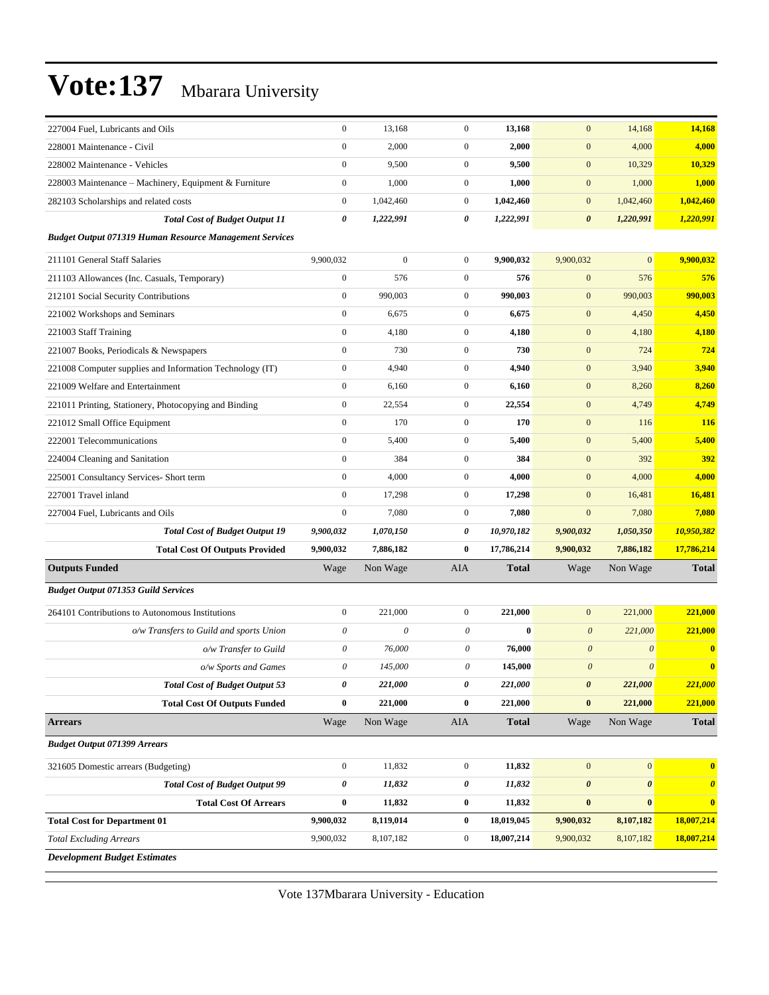| 227004 Fuel, Lubricants and Oils                               | $\boldsymbol{0}$          | 13,168                    | $\mathbf{0}$     | 13,168       | $\mathbf{0}$          | 14,168                | 14,168                |
|----------------------------------------------------------------|---------------------------|---------------------------|------------------|--------------|-----------------------|-----------------------|-----------------------|
| 228001 Maintenance - Civil                                     | $\boldsymbol{0}$          | 2,000                     | $\mathbf{0}$     | 2,000        | $\boldsymbol{0}$      | 4,000                 | 4,000                 |
| 228002 Maintenance - Vehicles                                  | $\boldsymbol{0}$          | 9,500                     | $\mathbf{0}$     | 9,500        | $\boldsymbol{0}$      | 10,329                | 10,329                |
| 228003 Maintenance - Machinery, Equipment & Furniture          | $\boldsymbol{0}$          | 1,000                     | $\mathbf{0}$     | 1,000        | $\mathbf{0}$          | 1,000                 | 1,000                 |
| 282103 Scholarships and related costs                          | $\boldsymbol{0}$          | 1,042,460                 | $\mathbf{0}$     | 1,042,460    | $\overline{0}$        | 1,042,460             | 1,042,460             |
| <b>Total Cost of Budget Output 11</b>                          | 0                         | 1,222,991                 | 0                | 1,222,991    | $\boldsymbol{\theta}$ | 1,220,991             | 1,220,991             |
| <b>Budget Output 071319 Human Resource Management Services</b> |                           |                           |                  |              |                       |                       |                       |
| 211101 General Staff Salaries                                  | 9,900,032                 | $\mathbf{0}$              | $\mathbf{0}$     | 9,900,032    | 9,900,032             | $\overline{0}$        | 9,900,032             |
| 211103 Allowances (Inc. Casuals, Temporary)                    | $\boldsymbol{0}$          | 576                       | $\mathbf{0}$     | 576          | $\mathbf{0}$          | 576                   | 576                   |
| 212101 Social Security Contributions                           | $\boldsymbol{0}$          | 990,003                   | $\mathbf{0}$     | 990,003      | $\mathbf{0}$          | 990,003               | 990,003               |
| 221002 Workshops and Seminars                                  | $\boldsymbol{0}$          | 6,675                     | $\mathbf{0}$     | 6,675        | $\boldsymbol{0}$      | 4,450                 | 4,450                 |
| 221003 Staff Training                                          | $\mathbf{0}$              | 4,180                     | $\mathbf{0}$     | 4,180        | $\mathbf{0}$          | 4,180                 | 4,180                 |
| 221007 Books, Periodicals & Newspapers                         | $\boldsymbol{0}$          | 730                       | $\mathbf{0}$     | 730          | $\mathbf{0}$          | 724                   | 724                   |
| 221008 Computer supplies and Information Technology (IT)       | $\boldsymbol{0}$          | 4,940                     | $\mathbf{0}$     | 4,940        | $\overline{0}$        | 3,940                 | 3,940                 |
| 221009 Welfare and Entertainment                               | $\boldsymbol{0}$          | 6,160                     | $\mathbf{0}$     | 6,160        | $\mathbf{0}$          | 8,260                 | 8,260                 |
| 221011 Printing, Stationery, Photocopying and Binding          | $\boldsymbol{0}$          | 22,554                    | $\mathbf{0}$     | 22,554       | $\mathbf{0}$          | 4,749                 | 4,749                 |
| 221012 Small Office Equipment                                  | $\mathbf{0}$              | 170                       | $\mathbf{0}$     | 170          | $\mathbf{0}$          | 116                   | 116                   |
| 222001 Telecommunications                                      | $\boldsymbol{0}$          | 5,400                     | $\mathbf{0}$     | 5,400        | $\mathbf{0}$          | 5,400                 | 5,400                 |
| 224004 Cleaning and Sanitation                                 | $\boldsymbol{0}$          | 384                       | $\mathbf{0}$     | 384          | $\overline{0}$        | 392                   | 392                   |
| 225001 Consultancy Services- Short term                        | $\boldsymbol{0}$          | 4,000                     | $\mathbf{0}$     | 4,000        | $\mathbf{0}$          | 4,000                 | 4,000                 |
| 227001 Travel inland                                           | $\boldsymbol{0}$          | 17,298                    | $\mathbf{0}$     | 17,298       | $\boldsymbol{0}$      | 16,481                | 16,481                |
| 227004 Fuel, Lubricants and Oils                               | $\mathbf{0}$              | 7,080                     | $\mathbf{0}$     | 7,080        | $\mathbf{0}$          | 7,080                 | 7,080                 |
| <b>Total Cost of Budget Output 19</b>                          | 9,900,032                 | 1,070,150                 | 0                | 10,970,182   | 9,900,032             | 1,050,350             | 10,950,382            |
| <b>Total Cost Of Outputs Provided</b>                          | 9,900,032                 | 7,886,182                 | $\bf{0}$         | 17,786,214   | 9,900,032             | 7,886,182             | 17,786,214            |
| <b>Outputs Funded</b>                                          | Wage                      | Non Wage                  | AIA              | <b>Total</b> | Wage                  | Non Wage              | <b>Total</b>          |
| <b>Budget Output 071353 Guild Services</b>                     |                           |                           |                  |              |                       |                       |                       |
| 264101 Contributions to Autonomous Institutions                | $\boldsymbol{0}$          | 221,000                   | $\mathbf{0}$     | 221,000      | $\mathbf{0}$          | 221,000               | 221,000               |
| o/w Transfers to Guild and sports Union                        | $\boldsymbol{\mathit{0}}$ | $\boldsymbol{\mathit{0}}$ | 0                | $\bf{0}$     | $\boldsymbol{0}$      | 221,000               | 221,000               |
| o/w Transfer to Guild                                          | $\boldsymbol{\mathit{0}}$ | 76,000                    | 0                | 76,000       | $\boldsymbol{\theta}$ | $\theta$              | $\bf{0}$              |
| o/w Sports and Games                                           | $\boldsymbol{\mathit{0}}$ | 145,000                   | 0                | 145,000      | $\boldsymbol{\theta}$ | $\boldsymbol{\theta}$ | $\bf{0}$              |
| <b>Total Cost of Budget Output 53</b>                          | $\pmb{\theta}$            | 221,000                   | $\pmb{\theta}$   | 221,000      | $\boldsymbol{\theta}$ | 221,000               | 221,000               |
| <b>Total Cost Of Outputs Funded</b>                            | $\bf{0}$                  | 221,000                   | $\bf{0}$         | 221,000      | $\bf{0}$              | 221,000               | 221,000               |
| <b>Arrears</b>                                                 | Wage                      | Non Wage                  | AIA              | <b>Total</b> | Wage                  | Non Wage              | <b>Total</b>          |
| <b>Budget Output 071399 Arrears</b>                            |                           |                           |                  |              |                       |                       |                       |
| 321605 Domestic arrears (Budgeting)                            | $\boldsymbol{0}$          | 11,832                    | $\boldsymbol{0}$ | 11,832       | $\mathbf{0}$          | $\mathbf{0}$          | $\bf{0}$              |
| <b>Total Cost of Budget Output 99</b>                          | $\pmb{\theta}$            | 11,832                    | $\pmb{\theta}$   | 11,832       | $\pmb{\theta}$        | $\boldsymbol{\theta}$ | $\boldsymbol{\theta}$ |
| <b>Total Cost Of Arrears</b>                                   | $\bf{0}$                  | 11,832                    | $\bf{0}$         | 11,832       | $\pmb{0}$             | $\bf{0}$              | $\mathbf{0}$          |
| <b>Total Cost for Department 01</b>                            | 9,900,032                 | 8,119,014                 | $\bf{0}$         | 18,019,045   | 9,900,032             | 8,107,182             | 18,007,214            |
| <b>Total Excluding Arrears</b>                                 | 9,900,032                 | 8,107,182                 | $\boldsymbol{0}$ | 18,007,214   | 9,900,032             | 8,107,182             | 18,007,214            |
| <b>Development Budget Estimates</b>                            |                           |                           |                  |              |                       |                       |                       |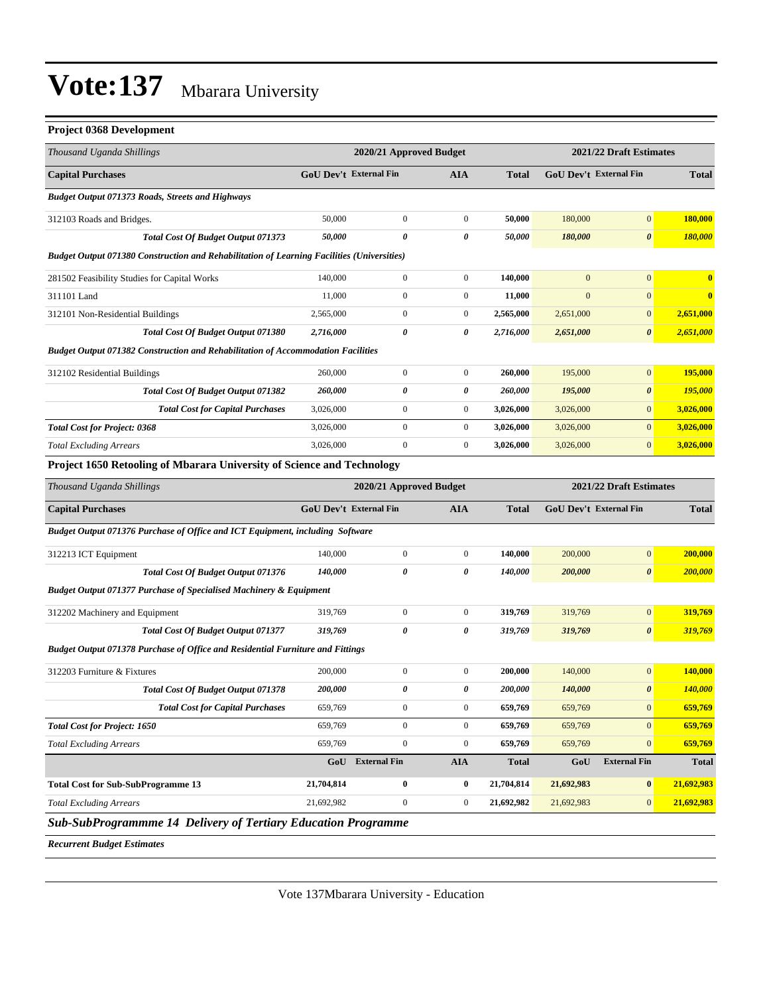| <b>Project 0368 Development</b>                                                            |                               |                         |                  |              |                         |                               |                         |  |
|--------------------------------------------------------------------------------------------|-------------------------------|-------------------------|------------------|--------------|-------------------------|-------------------------------|-------------------------|--|
| Thousand Uganda Shillings                                                                  |                               | 2020/21 Approved Budget |                  |              | 2021/22 Draft Estimates |                               |                         |  |
| <b>Capital Purchases</b>                                                                   |                               | GoU Dev't External Fin  | <b>AIA</b>       | <b>Total</b> |                         | GoU Dev't External Fin        | <b>Total</b>            |  |
| Budget Output 071373 Roads, Streets and Highways                                           |                               |                         |                  |              |                         |                               |                         |  |
| 312103 Roads and Bridges.                                                                  | 50,000                        | $\boldsymbol{0}$        | $\boldsymbol{0}$ | 50,000       | 180,000                 | $\boldsymbol{0}$              | 180,000                 |  |
| <b>Total Cost Of Budget Output 071373</b>                                                  | 50,000                        | 0                       | 0                | 50,000       | 180,000                 | $\boldsymbol{\theta}$         | 180,000                 |  |
| Budget Output 071380 Construction and Rehabilitation of Learning Facilities (Universities) |                               |                         |                  |              |                         |                               |                         |  |
| 281502 Feasibility Studies for Capital Works                                               | 140,000                       | $\boldsymbol{0}$        | $\boldsymbol{0}$ | 140,000      | $\mathbf{0}$            | $\boldsymbol{0}$              | $\overline{\mathbf{0}}$ |  |
| 311101 Land                                                                                | 11,000                        | $\boldsymbol{0}$        | $\boldsymbol{0}$ | 11,000       | $\overline{0}$          | $\mathbf{0}$                  | $\overline{\mathbf{0}}$ |  |
| 312101 Non-Residential Buildings                                                           | 2,565,000                     | $\boldsymbol{0}$        | $\boldsymbol{0}$ | 2,565,000    | 2,651,000               | $\boldsymbol{0}$              | 2,651,000               |  |
| Total Cost Of Budget Output 071380                                                         | 2,716,000                     | 0                       | 0                | 2,716,000    | 2,651,000               | $\boldsymbol{\theta}$         | 2,651,000               |  |
| Budget Output 071382 Construction and Rehabilitation of Accommodation Facilities           |                               |                         |                  |              |                         |                               |                         |  |
| 312102 Residential Buildings                                                               | 260,000                       | $\boldsymbol{0}$        | $\boldsymbol{0}$ | 260,000      | 195,000                 | $\mathbf{0}$                  | 195,000                 |  |
| <b>Total Cost Of Budget Output 071382</b>                                                  | 260,000                       | 0                       | 0                | 260,000      | 195,000                 | $\boldsymbol{\theta}$         | 195,000                 |  |
| <b>Total Cost for Capital Purchases</b>                                                    | 3,026,000                     | $\boldsymbol{0}$        | $\boldsymbol{0}$ | 3,026,000    | 3,026,000               | $\mathbf{0}$                  | 3,026,000               |  |
| <b>Total Cost for Project: 0368</b>                                                        | 3,026,000                     | $\boldsymbol{0}$        | $\boldsymbol{0}$ | 3,026,000    | 3,026,000               | $\mathbf{0}$                  | 3,026,000               |  |
| <b>Total Excluding Arrears</b>                                                             | 3,026,000                     | $\boldsymbol{0}$        | $\boldsymbol{0}$ | 3,026,000    | 3,026,000               | $\mathbf{0}$                  | 3,026,000               |  |
| Project 1650 Retooling of Mbarara University of Science and Technology                     |                               |                         |                  |              |                         |                               |                         |  |
| Thousand Uganda Shillings                                                                  |                               | 2020/21 Approved Budget |                  |              |                         | 2021/22 Draft Estimates       |                         |  |
| <b>Capital Purchases</b>                                                                   | <b>GoU Dev't External Fin</b> |                         | <b>AIA</b>       | <b>Total</b> |                         | <b>GoU Dev't External Fin</b> | <b>Total</b>            |  |
| Budget Output 071376 Purchase of Office and ICT Equipment, including Software              |                               |                         |                  |              |                         |                               |                         |  |
| 312213 ICT Equipment                                                                       | 140,000                       | $\boldsymbol{0}$        | $\boldsymbol{0}$ | 140,000      | 200,000                 | $\boldsymbol{0}$              | 200,000                 |  |
| Total Cost Of Budget Output 071376                                                         | 140,000                       | 0                       | 0                | 140,000      | 200,000                 | $\pmb{\theta}$                | 200,000                 |  |
| Budget Output 071377 Purchase of Specialised Machinery & Equipment                         |                               |                         |                  |              |                         |                               |                         |  |
| 312202 Machinery and Equipment                                                             | 319,769                       | $\boldsymbol{0}$        | $\boldsymbol{0}$ | 319,769      | 319,769                 | $\boldsymbol{0}$              | 319,769                 |  |
| <b>Total Cost Of Budget Output 071377</b>                                                  | 319,769                       | 0                       | 0                | 319,769      | 319,769                 | $\boldsymbol{\theta}$         | 319,769                 |  |
| Budget Output 071378 Purchase of Office and Residential Furniture and Fittings             |                               |                         |                  |              |                         |                               |                         |  |
| 312203 Furniture & Fixtures                                                                | 200,000                       | $\boldsymbol{0}$        | $\boldsymbol{0}$ | 200,000      | 140,000                 | $\boldsymbol{0}$              | 140,000                 |  |
| Total Cost Of Budget Output 071378                                                         | 200,000                       | 0                       | 0                | 200,000      | 140,000                 | 0                             | <b>140,000</b>          |  |
| <b>Total Cost for Capital Purchases</b>                                                    | 659,769                       | $\boldsymbol{0}$        | $\boldsymbol{0}$ | 659,769      | 659,769                 | $\mathbf{0}$                  | 659,769                 |  |
| <b>Total Cost for Project: 1650</b>                                                        | 659,769                       | $\boldsymbol{0}$        | $\boldsymbol{0}$ | 659,769      | 659,769                 | $\mathbf{0}$                  | 659,769                 |  |
| <b>Total Excluding Arrears</b>                                                             | 659,769                       | $\boldsymbol{0}$        | $\boldsymbol{0}$ | 659,769      | 659,769                 | $\mathbf{0}$                  | 659,769                 |  |
|                                                                                            |                               | GoU External Fin        | <b>AIA</b>       | <b>Total</b> | GoU                     | <b>External Fin</b>           | <b>Total</b>            |  |
| <b>Total Cost for Sub-SubProgramme 13</b>                                                  | 21,704,814                    | $\boldsymbol{0}$        | $\bf{0}$         | 21,704,814   | 21,692,983              | $\bf{0}$                      | 21,692,983              |  |
| <b>Total Excluding Arrears</b>                                                             | 21,692,982                    | $\boldsymbol{0}$        | $\boldsymbol{0}$ | 21,692,982   | 21,692,983              | $\mathbf{0}$                  | 21,692,983              |  |

*Sub-SubProgrammme 14 Delivery of Tertiary Education Programme*

*Recurrent Budget Estimates*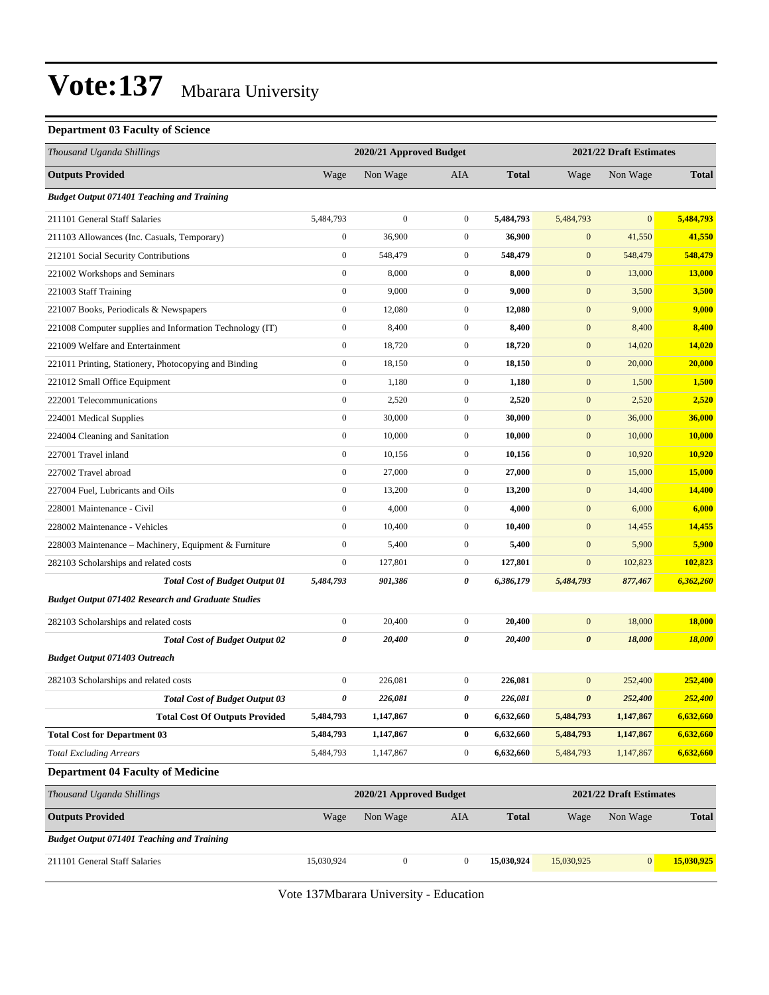#### **Department 03 Faculty of Science**

| Thousand Uganda Shillings                                 |                  | 2020/21 Approved Budget |                  |              | 2021/22 Draft Estimates |                         |               |
|-----------------------------------------------------------|------------------|-------------------------|------------------|--------------|-------------------------|-------------------------|---------------|
| <b>Outputs Provided</b>                                   | Wage             | Non Wage                | AIA              | <b>Total</b> | Wage                    | Non Wage                | <b>Total</b>  |
| <b>Budget Output 071401 Teaching and Training</b>         |                  |                         |                  |              |                         |                         |               |
| 211101 General Staff Salaries                             | 5,484,793        | $\boldsymbol{0}$        | $\boldsymbol{0}$ | 5,484,793    | 5,484,793               | $\mathbf{0}$            | 5,484,793     |
| 211103 Allowances (Inc. Casuals, Temporary)               | $\boldsymbol{0}$ | 36,900                  | $\mathbf{0}$     | 36,900       | $\boldsymbol{0}$        | 41,550                  | 41,550        |
| 212101 Social Security Contributions                      | $\boldsymbol{0}$ | 548,479                 | $\mathbf{0}$     | 548,479      | $\boldsymbol{0}$        | 548,479                 | 548,479       |
| 221002 Workshops and Seminars                             | $\boldsymbol{0}$ | 8,000                   | $\boldsymbol{0}$ | 8,000        | $\boldsymbol{0}$        | 13,000                  | 13,000        |
| 221003 Staff Training                                     | $\boldsymbol{0}$ | 9,000                   | $\boldsymbol{0}$ | 9,000        | $\boldsymbol{0}$        | 3,500                   | 3,500         |
| 221007 Books, Periodicals & Newspapers                    | $\boldsymbol{0}$ | 12,080                  | $\mathbf{0}$     | 12,080       | $\boldsymbol{0}$        | 9,000                   | 9,000         |
| 221008 Computer supplies and Information Technology (IT)  | $\boldsymbol{0}$ | 8,400                   | $\boldsymbol{0}$ | 8,400        | $\boldsymbol{0}$        | 8,400                   | 8,400         |
| 221009 Welfare and Entertainment                          | $\boldsymbol{0}$ | 18,720                  | $\boldsymbol{0}$ | 18,720       | $\boldsymbol{0}$        | 14,020                  | 14,020        |
| 221011 Printing, Stationery, Photocopying and Binding     | $\boldsymbol{0}$ | 18,150                  | $\boldsymbol{0}$ | 18,150       | $\boldsymbol{0}$        | 20,000                  | 20,000        |
| 221012 Small Office Equipment                             | $\boldsymbol{0}$ | 1,180                   | $\boldsymbol{0}$ | 1,180        | $\boldsymbol{0}$        | 1,500                   | 1,500         |
| 222001 Telecommunications                                 | $\boldsymbol{0}$ | 2,520                   | $\mathbf{0}$     | 2,520        | $\boldsymbol{0}$        | 2,520                   | 2,520         |
| 224001 Medical Supplies                                   | $\boldsymbol{0}$ | 30,000                  | $\boldsymbol{0}$ | 30,000       | $\boldsymbol{0}$        | 36,000                  | 36,000        |
| 224004 Cleaning and Sanitation                            | $\boldsymbol{0}$ | 10,000                  | $\boldsymbol{0}$ | 10,000       | $\boldsymbol{0}$        | 10,000                  | 10,000        |
| 227001 Travel inland                                      | $\boldsymbol{0}$ | 10,156                  | $\boldsymbol{0}$ | 10,156       | $\boldsymbol{0}$        | 10,920                  | 10,920        |
| 227002 Travel abroad                                      | $\boldsymbol{0}$ | 27,000                  | $\boldsymbol{0}$ | 27,000       | $\boldsymbol{0}$        | 15,000                  | 15,000        |
| 227004 Fuel, Lubricants and Oils                          | $\boldsymbol{0}$ | 13,200                  | $\boldsymbol{0}$ | 13,200       | $\boldsymbol{0}$        | 14,400                  | 14,400        |
| 228001 Maintenance - Civil                                | $\boldsymbol{0}$ | 4,000                   | $\mathbf{0}$     | 4,000        | $\boldsymbol{0}$        | 6,000                   | 6,000         |
| 228002 Maintenance - Vehicles                             | $\boldsymbol{0}$ | 10,400                  | $\boldsymbol{0}$ | 10,400       | $\boldsymbol{0}$        | 14,455                  | 14,455        |
| 228003 Maintenance - Machinery, Equipment & Furniture     | $\boldsymbol{0}$ | 5,400                   | $\boldsymbol{0}$ | 5,400        | $\boldsymbol{0}$        | 5,900                   | 5,900         |
| 282103 Scholarships and related costs                     | $\boldsymbol{0}$ | 127,801                 | $\boldsymbol{0}$ | 127,801      | $\boldsymbol{0}$        | 102,823                 | 102,823       |
| <b>Total Cost of Budget Output 01</b>                     | 5,484,793        | 901,386                 | 0                | 6,386,179    | 5,484,793               | 877,467                 | 6,362,260     |
| <b>Budget Output 071402 Research and Graduate Studies</b> |                  |                         |                  |              |                         |                         |               |
| 282103 Scholarships and related costs                     | $\boldsymbol{0}$ | 20,400                  | $\mathbf{0}$     | 20,400       | $\boldsymbol{0}$        | 18,000                  | 18,000        |
| <b>Total Cost of Budget Output 02</b>                     | 0                | 20,400                  | 0                | 20,400       | $\boldsymbol{\theta}$   | 18,000                  | <b>18,000</b> |
| <b>Budget Output 071403 Outreach</b>                      |                  |                         |                  |              |                         |                         |               |
| 282103 Scholarships and related costs                     | $\boldsymbol{0}$ | 226,081                 | $\boldsymbol{0}$ | 226,081      | $\boldsymbol{0}$        | 252,400                 | 252,400       |
| <b>Total Cost of Budget Output 03</b>                     | 0                | 226,081                 | 0                | 226,081      | $\boldsymbol{\theta}$   | 252,400                 | 252,400       |
| <b>Total Cost Of Outputs Provided</b>                     | 5,484,793        | 1,147,867               | $\bf{0}$         | 6,632,660    | 5,484,793               | 1,147,867               | 6,632,660     |
| <b>Total Cost for Department 03</b>                       | 5,484,793        | 1,147,867               | $\bf{0}$         | 6,632,660    | 5,484,793               | 1,147,867               | 6,632,660     |
| <b>Total Excluding Arrears</b>                            | 5,484,793        | 1,147,867               | $\boldsymbol{0}$ | 6,632,660    | 5,484,793               | 1,147,867               | 6,632,660     |
| <b>Department 04 Faculty of Medicine</b>                  |                  |                         |                  |              |                         |                         |               |
| Thousand Uganda Shillings                                 |                  | 2020/21 Approved Budget |                  |              |                         | 2021/22 Draft Estimates |               |
| <b>Outputs Provided</b>                                   | Wage             | Non Wage                | AIA              | <b>Total</b> | Wage                    | Non Wage                | <b>Total</b>  |
| <b>Budget Output 071401 Teaching and Training</b>         |                  |                         |                  |              |                         |                         |               |
| 211101 General Staff Salaries                             | 15,030,924       | $\boldsymbol{0}$        | $\mathbf{0}$     | 15,030,924   | 15,030,925              | $\mathbf{0}$            | 15,030,925    |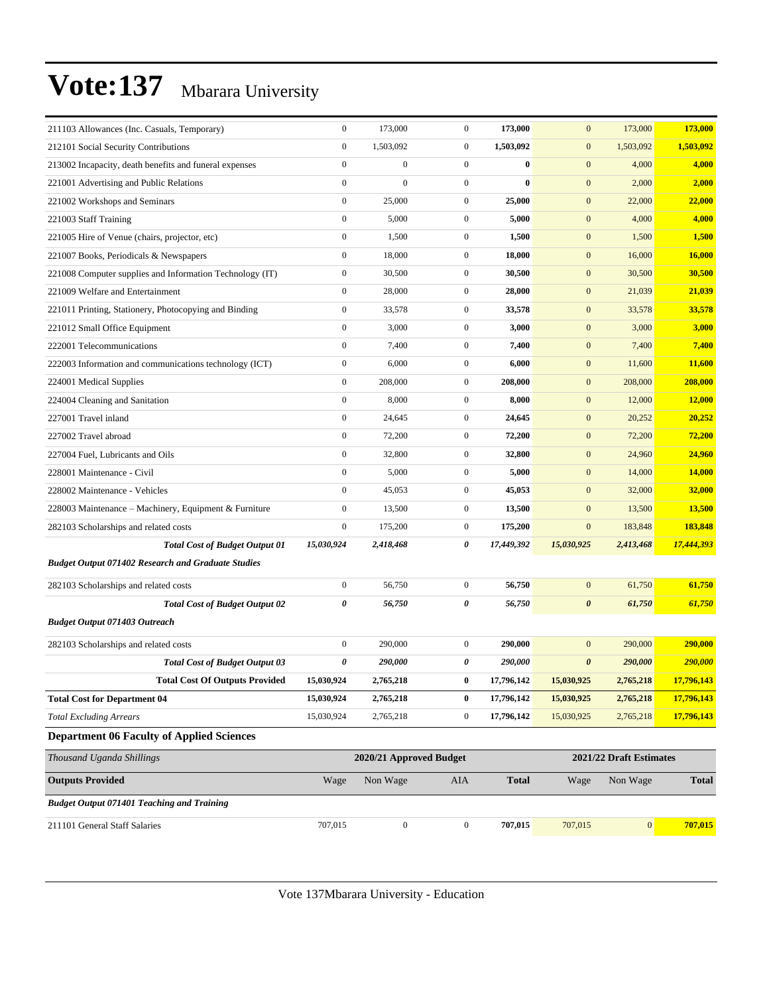| 211103 Allowances (Inc. Casuals, Temporary)               | $\boldsymbol{0}$ | 173,000                 | $\boldsymbol{0}$ | 173,000      | $\mathbf{0}$          | 173,000                 | 173,000      |
|-----------------------------------------------------------|------------------|-------------------------|------------------|--------------|-----------------------|-------------------------|--------------|
| 212101 Social Security Contributions                      | $\boldsymbol{0}$ | 1,503,092               | $\boldsymbol{0}$ | 1,503,092    | $\boldsymbol{0}$      | 1,503,092               | 1,503,092    |
| 213002 Incapacity, death benefits and funeral expenses    | $\boldsymbol{0}$ | $\boldsymbol{0}$        | $\boldsymbol{0}$ | $\bf{0}$     | $\boldsymbol{0}$      | 4,000                   | 4,000        |
| 221001 Advertising and Public Relations                   | $\boldsymbol{0}$ | $\overline{0}$          | $\boldsymbol{0}$ | $\bf{0}$     | $\boldsymbol{0}$      | 2,000                   | 2,000        |
| 221002 Workshops and Seminars                             | $\boldsymbol{0}$ | 25,000                  | $\boldsymbol{0}$ | 25,000       | $\boldsymbol{0}$      | 22,000                  | 22,000       |
| 221003 Staff Training                                     | $\boldsymbol{0}$ | 5,000                   | $\boldsymbol{0}$ | 5,000        | $\boldsymbol{0}$      | 4,000                   | 4,000        |
| 221005 Hire of Venue (chairs, projector, etc)             | $\boldsymbol{0}$ | 1,500                   | $\mathbf{0}$     | 1,500        | $\boldsymbol{0}$      | 1,500                   | 1,500        |
| 221007 Books, Periodicals & Newspapers                    | $\boldsymbol{0}$ | 18,000                  | $\boldsymbol{0}$ | 18,000       | $\boldsymbol{0}$      | 16,000                  | 16,000       |
| 221008 Computer supplies and Information Technology (IT)  | $\boldsymbol{0}$ | 30,500                  | $\boldsymbol{0}$ | 30,500       | $\boldsymbol{0}$      | 30,500                  | 30,500       |
| 221009 Welfare and Entertainment                          | $\boldsymbol{0}$ | 28,000                  | $\mathbf{0}$     | 28,000       | $\boldsymbol{0}$      | 21,039                  | 21,039       |
| 221011 Printing, Stationery, Photocopying and Binding     | $\boldsymbol{0}$ | 33,578                  | $\mathbf{0}$     | 33,578       | $\boldsymbol{0}$      | 33,578                  | 33,578       |
| 221012 Small Office Equipment                             | $\boldsymbol{0}$ | 3,000                   | $\mathbf{0}$     | 3,000        | $\boldsymbol{0}$      | 3,000                   | 3,000        |
| 222001 Telecommunications                                 | $\boldsymbol{0}$ | 7,400                   | $\boldsymbol{0}$ | 7,400        | $\boldsymbol{0}$      | 7,400                   | 7,400        |
| 222003 Information and communications technology (ICT)    | $\boldsymbol{0}$ | 6,000                   | $\boldsymbol{0}$ | 6,000        | $\boldsymbol{0}$      | 11,600                  | 11,600       |
| 224001 Medical Supplies                                   | $\boldsymbol{0}$ | 208,000                 | $\mathbf{0}$     | 208,000      | $\boldsymbol{0}$      | 208,000                 | 208,000      |
| 224004 Cleaning and Sanitation                            | $\boldsymbol{0}$ | 8,000                   | $\boldsymbol{0}$ | 8,000        | $\boldsymbol{0}$      | 12,000                  | 12,000       |
| 227001 Travel inland                                      | $\boldsymbol{0}$ | 24,645                  | $\mathbf{0}$     | 24,645       | $\boldsymbol{0}$      | 20,252                  | 20,252       |
| 227002 Travel abroad                                      | $\boldsymbol{0}$ | 72,200                  | $\boldsymbol{0}$ | 72,200       | $\boldsymbol{0}$      | 72,200                  | 72,200       |
| 227004 Fuel, Lubricants and Oils                          | $\boldsymbol{0}$ | 32,800                  | $\boldsymbol{0}$ | 32,800       | $\boldsymbol{0}$      | 24,960                  | 24,960       |
| 228001 Maintenance - Civil                                | $\boldsymbol{0}$ | 5,000                   | $\mathbf{0}$     | 5,000        | $\boldsymbol{0}$      | 14,000                  | 14,000       |
| 228002 Maintenance - Vehicles                             | $\boldsymbol{0}$ | 45,053                  | $\mathbf{0}$     | 45,053       | $\mathbf{0}$          | 32,000                  | 32,000       |
| 228003 Maintenance – Machinery, Equipment & Furniture     | $\boldsymbol{0}$ | 13,500                  | $\mathbf{0}$     | 13,500       | $\boldsymbol{0}$      | 13,500                  | 13,500       |
| 282103 Scholarships and related costs                     | $\boldsymbol{0}$ | 175,200                 | $\mathbf{0}$     | 175,200      | $\mathbf{0}$          | 183,848                 | 183,848      |
| <b>Total Cost of Budget Output 01</b>                     | 15,030,924       | 2,418,468               | 0                | 17,449,392   | 15,030,925            | 2,413,468               | 17,444,393   |
| <b>Budget Output 071402 Research and Graduate Studies</b> |                  |                         |                  |              |                       |                         |              |
| 282103 Scholarships and related costs                     | $\boldsymbol{0}$ | 56,750                  | $\boldsymbol{0}$ | 56,750       | $\boldsymbol{0}$      | 61,750                  | 61,750       |
| <b>Total Cost of Budget Output 02</b>                     | 0                | 56,750                  | 0                | 56,750       | $\boldsymbol{\theta}$ | 61,750                  | 61,750       |
| <b>Budget Output 071403 Outreach</b>                      |                  |                         |                  |              |                       |                         |              |
| 282103 Scholarships and related costs                     | $\boldsymbol{0}$ | 290,000                 | $\mathbf{0}$     | 290,000      | $\mathbf{0}$          | 290,000                 | 290,000      |
| <b>Total Cost of Budget Output 03</b>                     | 0                | 290,000                 | 0                | 290,000      | $\boldsymbol{\theta}$ | 290,000                 | 290,000      |
| <b>Total Cost Of Outputs Provided</b>                     | 15,030,924       | 2,765,218               | 0                | 17,796,142   | 15,030,925            | 2,765,218               | 17,796,143   |
| <b>Total Cost for Department 04</b>                       | 15,030,924       | 2,765,218               | $\bf{0}$         | 17,796,142   | 15,030,925            | 2,765,218               | 17,796,143   |
| <b>Total Excluding Arrears</b>                            | 15,030,924       | 2,765,218               | $\boldsymbol{0}$ | 17,796,142   | 15,030,925            | 2,765,218               | 17,796,143   |
| <b>Department 06 Faculty of Applied Sciences</b>          |                  |                         |                  |              |                       |                         |              |
| Thousand Uganda Shillings                                 |                  | 2020/21 Approved Budget |                  |              |                       | 2021/22 Draft Estimates |              |
| <b>Outputs Provided</b>                                   | Wage             | Non Wage                | AIA              | <b>Total</b> | Wage                  | Non Wage                | <b>Total</b> |
| <b>Budget Output 071401 Teaching and Training</b>         |                  |                         |                  |              |                       |                         |              |
| 211101 General Staff Salaries                             | 707,015          | $\boldsymbol{0}$        | $\boldsymbol{0}$ | 707,015      | 707,015               | $\vert 0 \vert$         | 707,015      |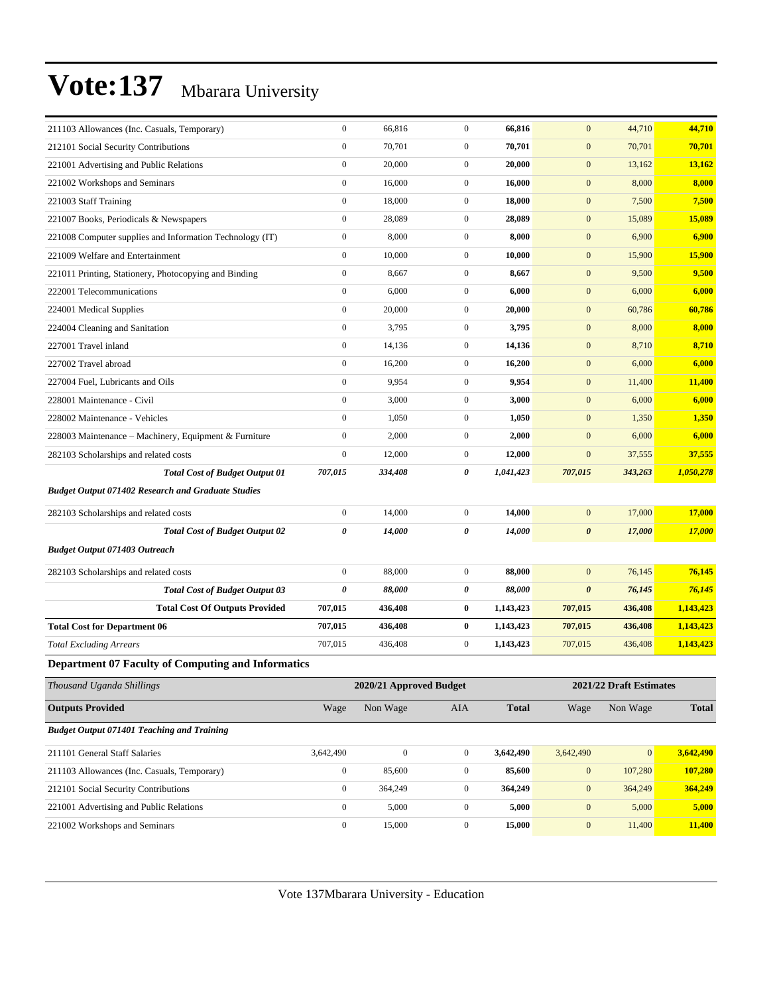| 211103 Allowances (Inc. Casuals, Temporary)               | $\boldsymbol{0}$      | 66,816                  | $\boldsymbol{0}$ | 66,816       | $\mathbf{0}$          | 44,710                  | 44,710       |
|-----------------------------------------------------------|-----------------------|-------------------------|------------------|--------------|-----------------------|-------------------------|--------------|
| 212101 Social Security Contributions                      | $\boldsymbol{0}$      | 70,701                  | $\boldsymbol{0}$ | 70,701       | $\mathbf{0}$          | 70,701                  | 70,701       |
| 221001 Advertising and Public Relations                   | $\boldsymbol{0}$      | 20,000                  | $\boldsymbol{0}$ | 20,000       | $\mathbf{0}$          | 13,162                  | 13,162       |
| 221002 Workshops and Seminars                             | $\boldsymbol{0}$      | 16,000                  | $\boldsymbol{0}$ | 16,000       | $\boldsymbol{0}$      | 8,000                   | 8,000        |
| 221003 Staff Training                                     | $\boldsymbol{0}$      | 18,000                  | $\mathbf{0}$     | 18,000       | $\mathbf{0}$          | 7,500                   | 7,500        |
| 221007 Books, Periodicals & Newspapers                    | $\boldsymbol{0}$      | 28,089                  | $\boldsymbol{0}$ | 28,089       | $\mathbf{0}$          | 15,089                  | 15,089       |
| 221008 Computer supplies and Information Technology (IT)  | $\boldsymbol{0}$      | 8,000                   | $\boldsymbol{0}$ | 8,000        | $\mathbf{0}$          | 6,900                   | 6,900        |
| 221009 Welfare and Entertainment                          | $\mathbf{0}$          | 10,000                  | $\boldsymbol{0}$ | 10,000       | $\mathbf{0}$          | 15,900                  | 15,900       |
| 221011 Printing, Stationery, Photocopying and Binding     | $\boldsymbol{0}$      | 8,667                   | $\boldsymbol{0}$ | 8,667        | $\boldsymbol{0}$      | 9,500                   | 9,500        |
| 222001 Telecommunications                                 | $\boldsymbol{0}$      | 6,000                   | $\boldsymbol{0}$ | 6,000        | $\mathbf{0}$          | 6,000                   | 6,000        |
| 224001 Medical Supplies                                   | $\boldsymbol{0}$      | 20,000                  | $\boldsymbol{0}$ | 20,000       | $\mathbf{0}$          | 60,786                  | 60,786       |
| 224004 Cleaning and Sanitation                            | $\boldsymbol{0}$      | 3,795                   | $\boldsymbol{0}$ | 3,795        | $\mathbf{0}$          | 8,000                   | 8,000        |
| 227001 Travel inland                                      | $\mathbf{0}$          | 14,136                  | $\boldsymbol{0}$ | 14,136       | $\mathbf{0}$          | 8,710                   | 8,710        |
| 227002 Travel abroad                                      | $\boldsymbol{0}$      | 16,200                  | $\boldsymbol{0}$ | 16,200       | $\boldsymbol{0}$      | 6,000                   | 6,000        |
| 227004 Fuel, Lubricants and Oils                          | $\boldsymbol{0}$      | 9,954                   | $\boldsymbol{0}$ | 9,954        | $\mathbf{0}$          | 11,400                  | 11,400       |
| 228001 Maintenance - Civil                                | $\boldsymbol{0}$      | 3,000                   | $\boldsymbol{0}$ | 3,000        | $\mathbf{0}$          | 6,000                   | 6,000        |
| 228002 Maintenance - Vehicles                             | $\boldsymbol{0}$      | 1,050                   | $\boldsymbol{0}$ | 1,050        | $\mathbf{0}$          | 1,350                   | 1,350        |
| 228003 Maintenance - Machinery, Equipment & Furniture     | $\mathbf{0}$          | 2,000                   | $\mathbf{0}$     | 2,000        | $\mathbf{0}$          | 6,000                   | 6,000        |
| 282103 Scholarships and related costs                     | $\boldsymbol{0}$      | 12,000                  | $\mathbf{0}$     | 12,000       | $\boldsymbol{0}$      | 37,555                  | 37,555       |
| <b>Total Cost of Budget Output 01</b>                     | 707,015               | 334,408                 | 0                | 1,041,423    | 707,015               | 343,263                 | 1,050,278    |
| <b>Budget Output 071402 Research and Graduate Studies</b> |                       |                         |                  |              |                       |                         |              |
| 282103 Scholarships and related costs                     | $\boldsymbol{0}$      | 14,000                  | $\mathbf{0}$     | 14,000       | $\mathbf{0}$          | 17,000                  | 17,000       |
| <b>Total Cost of Budget Output 02</b>                     | $\boldsymbol{\theta}$ | 14,000                  | 0                | 14,000       | $\boldsymbol{\theta}$ | 17,000                  | 17,000       |
| <b>Budget Output 071403 Outreach</b>                      |                       |                         |                  |              |                       |                         |              |
| 282103 Scholarships and related costs                     | $\boldsymbol{0}$      | 88,000                  | $\boldsymbol{0}$ | 88,000       | $\mathbf{0}$          | 76,145                  | 76,145       |
| <b>Total Cost of Budget Output 03</b>                     | $\pmb{\theta}$        | 88,000                  | 0                | 88,000       | $\pmb{\theta}$        | 76,145                  | 76,145       |
| <b>Total Cost Of Outputs Provided</b>                     | 707,015               | 436,408                 | 0                | 1,143,423    | 707,015               | 436,408                 | 1,143,423    |
| <b>Total Cost for Department 06</b>                       | 707,015               | 436,408                 | 0                | 1,143,423    | 707,015               | 436,408                 | 1,143,423    |
| <b>Total Excluding Arrears</b>                            | 707,015               | 436,408                 | $\boldsymbol{0}$ | 1,143,423    | 707,015               | 436,408                 | 1,143,423    |
| Department 07 Faculty of Computing and Informatics        |                       |                         |                  |              |                       |                         |              |
| Thousand Uganda Shillings                                 |                       | 2020/21 Approved Budget |                  |              |                       | 2021/22 Draft Estimates |              |
| <b>Outputs Provided</b>                                   | Wage                  | Non Wage                | AIA              | <b>Total</b> | Wage                  | Non Wage                | <b>Total</b> |
| <b>Budget Output 071401 Teaching and Training</b>         |                       |                         |                  |              |                       |                         |              |
| 211101 General Staff Salaries                             | 3,642,490             | $\mathbf{0}$            | $\mathbf{0}$     | 3,642,490    | 3,642,490             | $\vert 0 \vert$         | 3,642,490    |
| 211103 Allowances (Inc. Casuals, Temporary)               | $\boldsymbol{0}$      | 85,600                  | $\boldsymbol{0}$ | 85,600       | $\boldsymbol{0}$      | 107,280                 | 107,280      |
| 212101 Social Security Contributions                      | $\boldsymbol{0}$      | 364,249                 | $\boldsymbol{0}$ | 364,249      | $\boldsymbol{0}$      | 364,249                 | 364,249      |
| 221001 Advertising and Public Relations                   | $\boldsymbol{0}$      | 5,000                   | $\boldsymbol{0}$ | 5,000        | $\mathbf{0}$          | 5,000                   | 5,000        |
| 221002 Workshops and Seminars                             | $\boldsymbol{0}$      | 15,000                  | $\overline{0}$   | 15,000       | $\boldsymbol{0}$      | 11,400                  | 11,400       |
|                                                           |                       |                         |                  |              |                       |                         |              |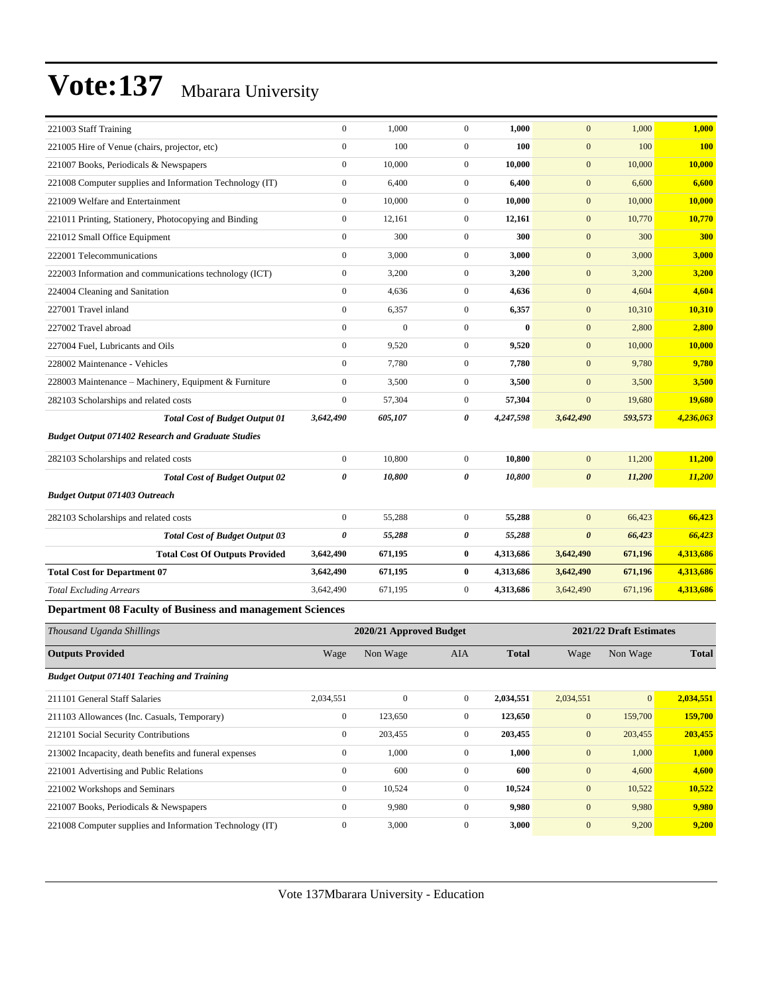| 221003 Staff Training                                            | $\mathbf{0}$          | 1,000                   | $\overline{0}$ | 1,000        | $\mathbf{0}$            | 1,000    | 1,000        |
|------------------------------------------------------------------|-----------------------|-------------------------|----------------|--------------|-------------------------|----------|--------------|
| 221005 Hire of Venue (chairs, projector, etc)                    | $\mathbf{0}$          | 100                     | $\overline{0}$ | 100          | $\mathbf{0}$            | 100      | <b>100</b>   |
| 221007 Books, Periodicals & Newspapers                           | $\boldsymbol{0}$      | 10,000                  | $\overline{0}$ | 10,000       | $\mathbf{0}$            | 10,000   | 10,000       |
| 221008 Computer supplies and Information Technology (IT)         | $\mathbf{0}$          | 6,400                   | $\overline{0}$ | 6,400        | $\mathbf{0}$            | 6,600    | 6,600        |
| 221009 Welfare and Entertainment                                 | $\mathbf{0}$          | 10,000                  | $\overline{0}$ | 10,000       | $\mathbf{0}$            | 10,000   | 10,000       |
| 221011 Printing, Stationery, Photocopying and Binding            | $\mathbf{0}$          | 12,161                  | $\overline{0}$ | 12,161       | $\mathbf{0}$            | 10,770   | 10,770       |
| 221012 Small Office Equipment                                    | $\mathbf{0}$          | 300                     | $\overline{0}$ | 300          | $\mathbf{0}$            | 300      | 300          |
| 222001 Telecommunications                                        | $\mathbf{0}$          | 3,000                   | $\overline{0}$ | 3,000        | $\mathbf{0}$            | 3,000    | 3,000        |
| 222003 Information and communications technology (ICT)           | $\mathbf{0}$          | 3,200                   | $\overline{0}$ | 3,200        | $\mathbf{0}$            | 3,200    | 3,200        |
| 224004 Cleaning and Sanitation                                   | $\boldsymbol{0}$      | 4,636                   | $\overline{0}$ | 4,636        | $\mathbf{0}$            | 4,604    | 4,604        |
| 227001 Travel inland                                             | $\mathbf{0}$          | 6,357                   | $\overline{0}$ | 6,357        | $\mathbf{0}$            | 10,310   | 10,310       |
| 227002 Travel abroad                                             | $\boldsymbol{0}$      | $\boldsymbol{0}$        | $\overline{0}$ | $\bf{0}$     | $\mathbf{0}$            | 2,800    | 2,800        |
| 227004 Fuel, Lubricants and Oils                                 | $\mathbf{0}$          | 9,520                   | $\overline{0}$ | 9,520        | $\mathbf{0}$            | 10,000   | 10,000       |
| 228002 Maintenance - Vehicles                                    | $\Omega$              | 7,780                   | $\overline{0}$ | 7,780        | $\overline{0}$          | 9,780    | 9,780        |
| 228003 Maintenance - Machinery, Equipment & Furniture            | $\boldsymbol{0}$      | 3,500                   | $\overline{0}$ | 3,500        | $\mathbf{0}$            | 3,500    | 3,500        |
| 282103 Scholarships and related costs                            | $\mathbf{0}$          | 57,304                  | $\overline{0}$ | 57,304       | $\mathbf{0}$            | 19,680   | 19,680       |
| <b>Total Cost of Budget Output 01</b>                            | 3,642,490             | 605,107                 | 0              | 4,247,598    | 3,642,490               | 593,573  | 4,236,063    |
| <b>Budget Output 071402 Research and Graduate Studies</b>        |                       |                         |                |              |                         |          |              |
| 282103 Scholarships and related costs                            | $\mathbf{0}$          | 10,800                  | $\overline{0}$ | 10,800       | $\overline{0}$          | 11,200   | 11,200       |
| <b>Total Cost of Budget Output 02</b>                            | $\boldsymbol{\theta}$ | 10,800                  | 0              | 10,800       | $\boldsymbol{\theta}$   | 11,200   | 11,200       |
| <b>Budget Output 071403 Outreach</b>                             |                       |                         |                |              |                         |          |              |
| 282103 Scholarships and related costs                            | $\mathbf{0}$          | 55,288                  | $\overline{0}$ | 55,288       | $\mathbf{0}$            | 66,423   | 66,423       |
| <b>Total Cost of Budget Output 03</b>                            | $\boldsymbol{\theta}$ | 55,288                  | 0              | 55,288       | $\boldsymbol{\theta}$   | 66,423   | 66,423       |
| <b>Total Cost Of Outputs Provided</b>                            | 3,642,490             | 671,195                 | $\bf{0}$       | 4,313,686    | 3,642,490               | 671,196  | 4,313,686    |
| <b>Total Cost for Department 07</b>                              | 3,642,490             | 671,195                 | $\bf{0}$       | 4,313,686    | 3,642,490               | 671,196  | 4,313,686    |
| <b>Total Excluding Arrears</b>                                   | 3,642,490             | 671,195                 | $\overline{0}$ | 4,313,686    | 3,642,490               | 671,196  | 4,313,686    |
| <b>Department 08 Faculty of Business and management Sciences</b> |                       |                         |                |              |                         |          |              |
| Thousand Uganda Shillings                                        |                       | 2020/21 Approved Budget |                |              | 2021/22 Draft Estimates |          |              |
| <b>Outputs Provided</b>                                          | Wage                  | Non Wage                | <b>AIA</b>     | <b>Total</b> | Wage                    | Non Wage | <b>Total</b> |

*Budget Output 071401 Teaching and Training*

| Dawger Output 07 I 101 Teaching and Training             |              |              |              |           |              |                 |           |
|----------------------------------------------------------|--------------|--------------|--------------|-----------|--------------|-----------------|-----------|
| 211101 General Staff Salaries                            | 2.034.551    | $\mathbf{0}$ | $\mathbf{0}$ | 2.034.551 | 2.034.551    | $\vert 0 \vert$ | 2.034.551 |
| 211103 Allowances (Inc. Casuals, Temporary)              | $\mathbf{0}$ | 123,650      | $\mathbf{0}$ | 123,650   | $\mathbf{0}$ | 159,700         | 159,700   |
| 212101 Social Security Contributions                     | $\mathbf{0}$ | 203,455      | $\mathbf{0}$ | 203,455   | $\mathbf{0}$ | 203,455         | 203,455   |
| 213002 Incapacity, death benefits and funeral expenses   | $\Omega$     | 1,000        | $\Omega$     | 1,000     | $\mathbf{0}$ | 1,000           | 1,000     |
| 221001 Advertising and Public Relations                  | $\Omega$     | 600          | $\Omega$     | 600       | $\mathbf{0}$ | 4,600           | 4,600     |
| 221002 Workshops and Seminars                            | $\mathbf{0}$ | 10.524       | $\Omega$     | 10,524    | $\mathbf{0}$ | 10.522          | 10,522    |
| 221007 Books, Periodicals & Newspapers                   | $\Omega$     | 9,980        | $\Omega$     | 9,980     | $\mathbf{0}$ | 9,980           | 9,980     |
| 221008 Computer supplies and Information Technology (IT) | $\mathbf{0}$ | 3,000        | $\mathbf{0}$ | 3,000     | $\mathbf{0}$ | 9,200           | 9,200     |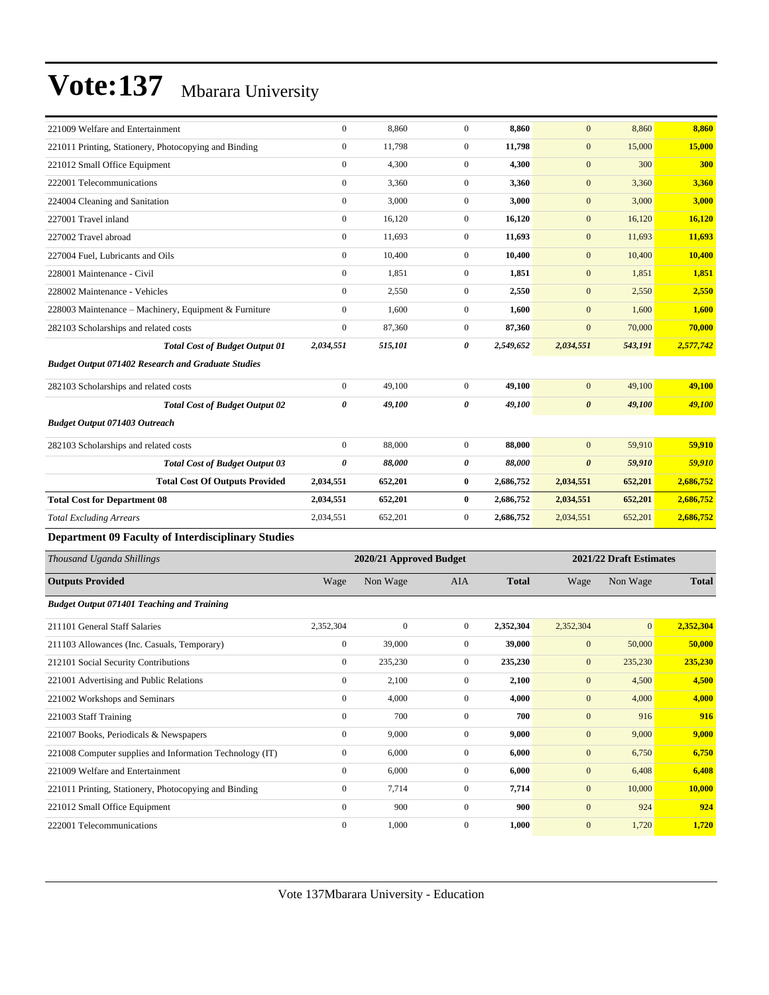| 221009 Welfare and Entertainment                          | $\boldsymbol{0}$        | 8,860            | $\mathbf{0}$     | 8,860        | $\mathbf{0}$          | 8,860                   | 8,860         |  |  |
|-----------------------------------------------------------|-------------------------|------------------|------------------|--------------|-----------------------|-------------------------|---------------|--|--|
| 221011 Printing, Stationery, Photocopying and Binding     | $\boldsymbol{0}$        | 11,798           | $\boldsymbol{0}$ | 11,798       | $\mathbf{0}$          | 15,000                  | 15,000        |  |  |
| 221012 Small Office Equipment                             | $\boldsymbol{0}$        | 4,300            | $\mathbf{0}$     | 4,300        | $\mathbf{0}$          | 300                     | 300           |  |  |
| 222001 Telecommunications                                 | $\mathbf{0}$            | 3,360            | $\boldsymbol{0}$ | 3,360        | $\mathbf{0}$          | 3,360                   | 3,360         |  |  |
| 224004 Cleaning and Sanitation                            | $\mathbf{0}$            | 3,000            | $\boldsymbol{0}$ | 3,000        | $\mathbf{0}$          | 3,000                   | 3,000         |  |  |
| 227001 Travel inland                                      | $\boldsymbol{0}$        | 16,120           | $\boldsymbol{0}$ | 16,120       | $\mathbf{0}$          | 16,120                  | 16,120        |  |  |
| 227002 Travel abroad                                      | $\boldsymbol{0}$        | 11,693           | $\mathbf{0}$     | 11,693       | $\mathbf{0}$          | 11,693                  | 11,693        |  |  |
| 227004 Fuel, Lubricants and Oils                          | $\boldsymbol{0}$        | 10,400           | $\mathbf{0}$     | 10,400       | $\mathbf{0}$          | 10,400                  | 10,400        |  |  |
| 228001 Maintenance - Civil                                | $\mathbf{0}$            | 1,851            | $\boldsymbol{0}$ | 1,851        | $\mathbf{0}$          | 1,851                   | 1,851         |  |  |
| 228002 Maintenance - Vehicles                             | $\boldsymbol{0}$        | 2,550            | $\mathbf{0}$     | 2,550        | $\mathbf{0}$          | 2,550                   | 2,550         |  |  |
| 228003 Maintenance – Machinery, Equipment & Furniture     | $\boldsymbol{0}$        | 1,600            | $\boldsymbol{0}$ | 1,600        | $\mathbf{0}$          | 1,600                   | 1,600         |  |  |
| 282103 Scholarships and related costs                     | $\boldsymbol{0}$        | 87,360           | $\boldsymbol{0}$ | 87,360       | $\mathbf{0}$          | 70,000                  | 70,000        |  |  |
| <b>Total Cost of Budget Output 01</b>                     | 2,034,551               | 515,101          | 0                | 2,549,652    | 2,034,551             | 543,191                 | 2,577,742     |  |  |
| <b>Budget Output 071402 Research and Graduate Studies</b> |                         |                  |                  |              |                       |                         |               |  |  |
| 282103 Scholarships and related costs                     | $\boldsymbol{0}$        | 49,100           | $\boldsymbol{0}$ | 49,100       | $\mathbf{0}$          | 49,100                  | 49,100        |  |  |
| <b>Total Cost of Budget Output 02</b>                     | 0                       | 49,100           | 0                | 49,100       | $\boldsymbol{\theta}$ | 49,100                  | 49,100        |  |  |
| <b>Budget Output 071403 Outreach</b>                      |                         |                  |                  |              |                       |                         |               |  |  |
| 282103 Scholarships and related costs                     | $\boldsymbol{0}$        | 88,000           | $\boldsymbol{0}$ | 88,000       | $\mathbf{0}$          | 59,910                  | 59,910        |  |  |
| <b>Total Cost of Budget Output 03</b>                     | $\pmb{\theta}$          | 88,000           | 0                | 88,000       | $\boldsymbol{\theta}$ | 59,910                  | 59,910        |  |  |
| <b>Total Cost Of Outputs Provided</b>                     | 2,034,551               | 652,201          | 0                | 2,686,752    | 2,034,551             | 652,201                 | 2,686,752     |  |  |
| <b>Total Cost for Department 08</b>                       | 2,034,551               | 652,201          | 0                | 2,686,752    | 2,034,551             | 652,201                 | 2,686,752     |  |  |
| <b>Total Excluding Arrears</b>                            | 2,034,551               | 652,201          | $\mathbf{0}$     | 2,686,752    | 2,034,551             | 652,201                 | 2,686,752     |  |  |
| <b>Department 09 Faculty of Interdisciplinary Studies</b> |                         |                  |                  |              |                       |                         |               |  |  |
| Thousand Uganda Shillings                                 | 2020/21 Approved Budget |                  |                  |              |                       |                         |               |  |  |
|                                                           |                         |                  |                  |              |                       | 2021/22 Draft Estimates |               |  |  |
| <b>Outputs Provided</b>                                   | Wage                    | Non Wage         | AIA              | <b>Total</b> | Wage                  | Non Wage                | <b>Total</b>  |  |  |
| <b>Budget Output 071401 Teaching and Training</b>         |                         |                  |                  |              |                       |                         |               |  |  |
| 211101 General Staff Salaries                             | 2,352,304               | $\boldsymbol{0}$ | 0                | 2,352,304    | 2,352,304             | $\boldsymbol{0}$        | 2,352,304     |  |  |
| 211103 Allowances (Inc. Casuals, Temporary)               | $\boldsymbol{0}$        | 39,000           | $\mathbf{0}$     | 39,000       | $\mathbf{0}$          | 50,000                  | 50,000        |  |  |
| 212101 Social Security Contributions                      | $\boldsymbol{0}$        | 235,230          | $\boldsymbol{0}$ | 235,230      | $\mathbf{0}$          | 235,230                 | 235,230       |  |  |
| 221001 Advertising and Public Relations                   | $\boldsymbol{0}$        | 2,100            | $\boldsymbol{0}$ | 2,100        | $\mathbf{0}$          | 4,500                   | 4,500         |  |  |
| 221002 Workshops and Seminars                             | $\boldsymbol{0}$        | 4,000            | $\boldsymbol{0}$ | 4,000        | $\mathbf{0}$          | 4,000                   | 4,000         |  |  |
| 221003 Staff Training                                     | $\boldsymbol{0}$        | 700              | $\boldsymbol{0}$ | 700          | $\boldsymbol{0}$      | 916                     | 916           |  |  |
| 221007 Books, Periodicals & Newspapers                    | $\boldsymbol{0}$        | 9,000            | $\boldsymbol{0}$ | 9,000        | $\boldsymbol{0}$      | 9,000                   | 9,000         |  |  |
| 221008 Computer supplies and Information Technology (IT)  | $\boldsymbol{0}$        | 6,000            | $\boldsymbol{0}$ | 6,000        | $\mathbf{0}$          | 6,750                   | 6,750         |  |  |
| 221009 Welfare and Entertainment                          | $\boldsymbol{0}$        | 6,000            | $\boldsymbol{0}$ | 6,000        | $\boldsymbol{0}$      | 6,408                   | 6,408         |  |  |
| 221011 Printing, Stationery, Photocopying and Binding     | $\boldsymbol{0}$        | 7,714            | $\boldsymbol{0}$ | 7,714        | $\mathbf{0}$          | 10,000                  | <b>10,000</b> |  |  |
| 221012 Small Office Equipment                             | $\boldsymbol{0}$        | 900              | $\boldsymbol{0}$ | 900          | $\mathbf{0}$          | 924                     | 924           |  |  |
| 222001 Telecommunications                                 | $\boldsymbol{0}$        | 1,000            | $\boldsymbol{0}$ | 1,000        | $\boldsymbol{0}$      | 1,720                   | 1,720         |  |  |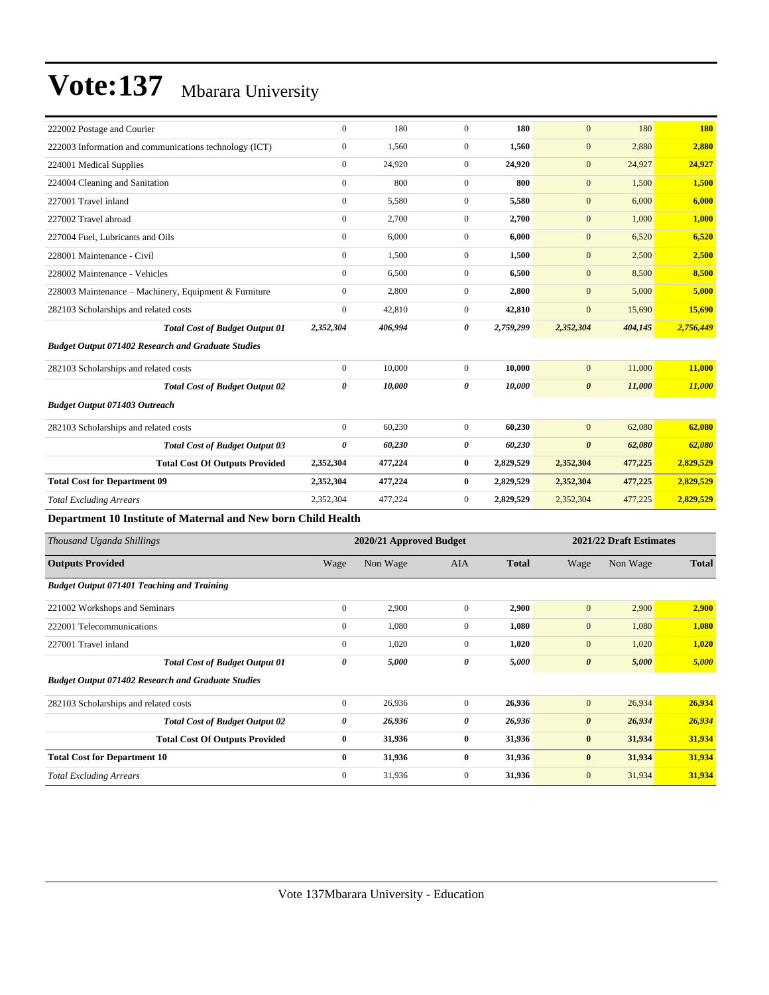| 222002 Postage and Courier                                    | $\mathbf{0}$          | 180                     | $\Omega$       | 180          | $\mathbf{0}$          | 180                     | <b>180</b>   |
|---------------------------------------------------------------|-----------------------|-------------------------|----------------|--------------|-----------------------|-------------------------|--------------|
| 222003 Information and communications technology (ICT)        | $\boldsymbol{0}$      | 1,560                   | $\mathbf{0}$   | 1,560        | $\mathbf{0}$          | 2,880                   | 2,880        |
| 224001 Medical Supplies                                       | $\mathbf{0}$          | 24,920                  | $\mathbf{0}$   | 24,920       | $\mathbf{0}$          | 24,927                  | 24,927       |
| 224004 Cleaning and Sanitation                                | $\mathbf{0}$          | 800                     | $\mathbf{0}$   | 800          | $\mathbf{0}$          | 1,500                   | 1,500        |
| 227001 Travel inland                                          | $\mathbf{0}$          | 5,580                   | $\overline{0}$ | 5,580        | $\mathbf{0}$          | 6,000                   | 6,000        |
| 227002 Travel abroad                                          | $\mathbf{0}$          | 2,700                   | $\overline{0}$ | 2,700        | $\mathbf{0}$          | 1,000                   | 1,000        |
| 227004 Fuel. Lubricants and Oils                              | $\mathbf{0}$          | 6,000                   | $\overline{0}$ | 6,000        | $\mathbf{0}$          | 6,520                   | 6,520        |
| 228001 Maintenance - Civil                                    | $\mathbf{0}$          | 1,500                   | $\overline{0}$ | 1,500        | $\mathbf{0}$          | 2,500                   | 2,500        |
| 228002 Maintenance - Vehicles                                 | $\mathbf{0}$          | 6,500                   | $\overline{0}$ | 6,500        | $\mathbf{0}$          | 8,500                   | 8,500        |
| 228003 Maintenance - Machinery, Equipment & Furniture         | $\boldsymbol{0}$      | 2,800                   | $\mathbf{0}$   | 2,800        | $\mathbf{0}$          | 5,000                   | 5,000        |
| 282103 Scholarships and related costs                         | $\mathbf{0}$          | 42,810                  | $\overline{0}$ | 42,810       | $\mathbf{0}$          | 15,690                  | 15,690       |
| <b>Total Cost of Budget Output 01</b>                         | 2,352,304             | 406,994                 | 0              | 2,759,299    | 2,352,304             | 404,145                 | 2,756,449    |
| <b>Budget Output 071402 Research and Graduate Studies</b>     |                       |                         |                |              |                       |                         |              |
| 282103 Scholarships and related costs                         | $\mathbf{0}$          | 10,000                  | $\overline{0}$ | 10,000       | $\mathbf{0}$          | 11,000                  | 11,000       |
| <b>Total Cost of Budget Output 02</b>                         | $\boldsymbol{\theta}$ | 10,000                  | 0              | 10,000       | $\boldsymbol{\theta}$ | 11,000                  | 11,000       |
| <b>Budget Output 071403 Outreach</b>                          |                       |                         |                |              |                       |                         |              |
| 282103 Scholarships and related costs                         | $\mathbf{0}$          | 60,230                  | $\overline{0}$ | 60,230       | $\mathbf{0}$          | 62,080                  | 62,080       |
| <b>Total Cost of Budget Output 03</b>                         | $\boldsymbol{\theta}$ | 60,230                  | 0              | 60,230       | $\boldsymbol{\theta}$ | 62,080                  | 62,080       |
| <b>Total Cost Of Outputs Provided</b>                         | 2,352,304             | 477,224                 | $\bf{0}$       | 2,829,529    | 2,352,304             | 477,225                 | 2,829,529    |
| <b>Total Cost for Department 09</b>                           | 2,352,304             | 477,224                 | $\bf{0}$       | 2,829,529    | 2,352,304             | 477,225                 | 2,829,529    |
| <b>Total Excluding Arrears</b>                                | 2,352,304             | 477,224                 | $\mathbf{0}$   | 2,829,529    | 2,352,304             | 477,225                 | 2,829,529    |
| Department 10 Institute of Maternal and New born Child Health |                       |                         |                |              |                       |                         |              |
| Thousand Uganda Shillings                                     |                       | 2020/21 Approved Budget |                |              |                       | 2021/22 Draft Estimates |              |
| <b>Outputs Provided</b>                                       | Wage                  | Non Wage                | <b>AIA</b>     | <b>Total</b> | Wage                  | Non Wage                | <b>Total</b> |
| <b>Budget Output 071401 Teaching and Training</b>             |                       |                         |                |              |                       |                         |              |
| 221002 Workshops and Seminars                                 | $\mathbf{0}$          | 2.900                   | $\mathbf{0}$   | 2.900        | $\overline{0}$        | 2.900                   | 2.900        |

| 221002 Workshops and Seminars                             | $\mathbf{0}$ | 2,900  | $\mathbf{0}$ | 2,900  | $\mathbf{0}$          | 2,900  | 2,900  |
|-----------------------------------------------------------|--------------|--------|--------------|--------|-----------------------|--------|--------|
| 222001 Telecommunications                                 | $\mathbf{0}$ | 1,080  | $\mathbf{0}$ | 1,080  | $\mathbf{0}$          | 1,080  | 1,080  |
| 227001 Travel inland                                      | $\mathbf{0}$ | 1,020  | $\mathbf{0}$ | 1,020  | $\mathbf{0}$          | 1,020  | 1,020  |
| <b>Total Cost of Budget Output 01</b>                     | 0            | 5,000  | 0            | 5,000  | $\boldsymbol{\theta}$ | 5,000  | 5,000  |
| <b>Budget Output 071402 Research and Graduate Studies</b> |              |        |              |        |                       |        |        |
| 282103 Scholarships and related costs                     | $\mathbf{0}$ | 26,936 | $\mathbf{0}$ | 26,936 | $\mathbf{0}$          | 26,934 | 26,934 |
| <b>Total Cost of Budget Output 02</b>                     | 0            | 26,936 | 0            | 26,936 | $\boldsymbol{\theta}$ | 26,934 | 26,934 |
| <b>Total Cost Of Outputs Provided</b>                     | $\bf{0}$     | 31,936 | $\bf{0}$     | 31,936 | $\bf{0}$              | 31,934 | 31,934 |
| <b>Total Cost for Department 10</b>                       | 0            | 31,936 | $\bf{0}$     | 31,936 | $\bf{0}$              | 31,934 | 31,934 |
| <b>Total Excluding Arrears</b>                            | $\Omega$     | 31,936 | $\mathbf{0}$ | 31,936 | $\overline{0}$        | 31,934 | 31,934 |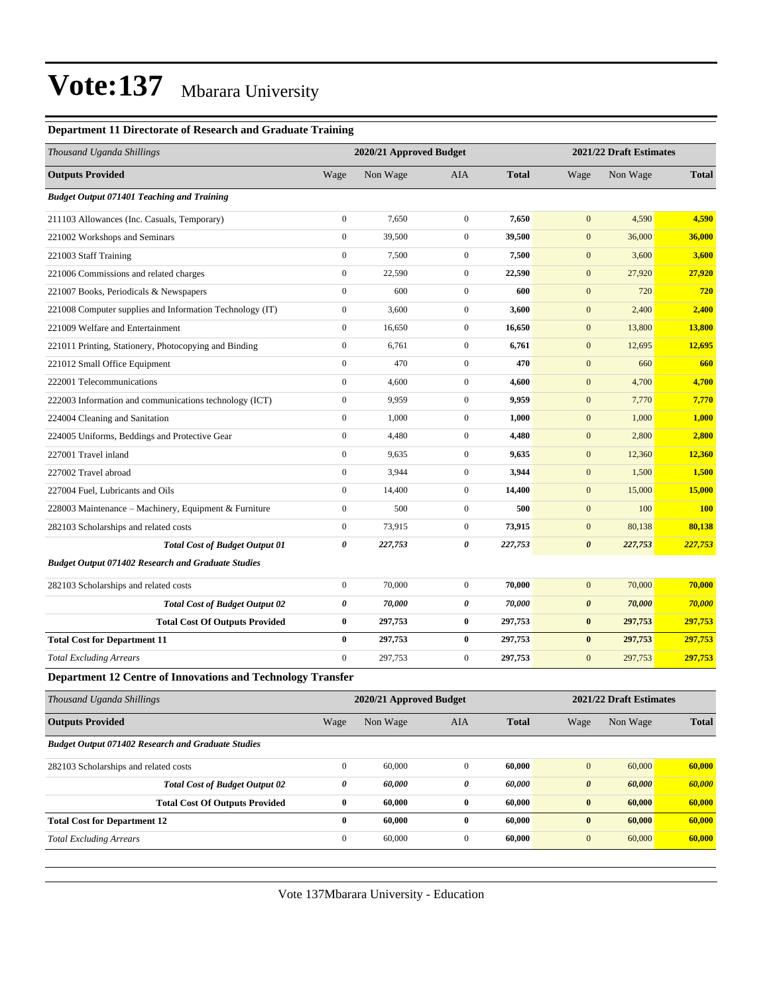#### **Department 11 Directorate of Research and Graduate Training**

| <b>Outputs Provided</b><br>Non Wage<br>AIA<br><b>Total</b><br>Wage<br>Wage<br>Non Wage<br><b>Budget Output 071401 Teaching and Training</b><br>$\boldsymbol{0}$<br>$\boldsymbol{0}$<br>7,650<br>7,650<br>$\mathbf{0}$<br>4,590<br>211103 Allowances (Inc. Casuals, Temporary)<br>$\boldsymbol{0}$<br>221002 Workshops and Seminars<br>39,500<br>$\boldsymbol{0}$<br>39,500<br>$\mathbf{0}$<br>36,000<br>$\boldsymbol{0}$<br>221003 Staff Training<br>7,500<br>$\boldsymbol{0}$<br>7,500<br>$\mathbf{0}$<br>3,600<br>$\boldsymbol{0}$<br>22,590<br>$\mathbf{0}$<br>22,590<br>$\mathbf{0}$<br>27,920<br>221006 Commissions and related charges<br>$\boldsymbol{0}$<br>600<br>$\boldsymbol{0}$<br>600<br>$\mathbf{0}$<br>720<br>221007 Books, Periodicals & Newspapers<br>$\boldsymbol{0}$<br>3,600<br>$\boldsymbol{0}$<br>3,600<br>$\mathbf{0}$<br>221008 Computer supplies and Information Technology (IT)<br>2,400<br>221009 Welfare and Entertainment<br>$\mathbf{0}$<br>16,650<br>$\boldsymbol{0}$<br>16,650<br>$\mathbf{0}$<br>13,800<br>$\boldsymbol{0}$<br>6,761<br>$\boldsymbol{0}$<br>6,761<br>$\mathbf{0}$<br>12,695<br>221011 Printing, Stationery, Photocopying and Binding<br>$\boldsymbol{0}$<br>470<br>$\boldsymbol{0}$<br>470<br>$\mathbf{0}$<br>660<br>221012 Small Office Equipment<br>222001 Telecommunications<br>$\boldsymbol{0}$<br>4,600<br>$\boldsymbol{0}$<br>$\mathbf{0}$<br>4,600<br>4,700<br>$\boldsymbol{0}$<br>9,959<br>$\boldsymbol{0}$<br>9,959<br>$\mathbf{0}$<br>7,770<br>222003 Information and communications technology (ICT)<br>224004 Cleaning and Sanitation<br>$\mathbf{0}$<br>1,000<br>$\boldsymbol{0}$<br>$\mathbf{0}$<br>1,000<br>1,000<br>$\boldsymbol{0}$<br>4,480<br>$\boldsymbol{0}$<br>4,480<br>$\mathbf{0}$<br>2,800<br>224005 Uniforms, Beddings and Protective Gear<br>$\boldsymbol{0}$<br>9,635<br>$\boldsymbol{0}$<br>$\mathbf{0}$<br>12,360<br>9,635<br>227001 Travel inland<br>$\boldsymbol{0}$<br>3,944<br>$\boldsymbol{0}$<br>3,944<br>$\mathbf{0}$<br>1,500<br>227002 Travel abroad<br>$\boldsymbol{0}$<br>14,400<br>$\boldsymbol{0}$<br>14,400<br>$\mathbf{0}$<br>15,000<br>227004 Fuel, Lubricants and Oils | Thousand Uganda Shillings | 2020/21 Approved Budget | 2021/22 Draft Estimates |  |  |              |  |
|------------------------------------------------------------------------------------------------------------------------------------------------------------------------------------------------------------------------------------------------------------------------------------------------------------------------------------------------------------------------------------------------------------------------------------------------------------------------------------------------------------------------------------------------------------------------------------------------------------------------------------------------------------------------------------------------------------------------------------------------------------------------------------------------------------------------------------------------------------------------------------------------------------------------------------------------------------------------------------------------------------------------------------------------------------------------------------------------------------------------------------------------------------------------------------------------------------------------------------------------------------------------------------------------------------------------------------------------------------------------------------------------------------------------------------------------------------------------------------------------------------------------------------------------------------------------------------------------------------------------------------------------------------------------------------------------------------------------------------------------------------------------------------------------------------------------------------------------------------------------------------------------------------------------------------------------------------------------------------------------------------------------------------------------------------------------------------------------------------------------------------------------------------------------|---------------------------|-------------------------|-------------------------|--|--|--------------|--|
|                                                                                                                                                                                                                                                                                                                                                                                                                                                                                                                                                                                                                                                                                                                                                                                                                                                                                                                                                                                                                                                                                                                                                                                                                                                                                                                                                                                                                                                                                                                                                                                                                                                                                                                                                                                                                                                                                                                                                                                                                                                                                                                                                                        |                           |                         |                         |  |  | <b>Total</b> |  |
|                                                                                                                                                                                                                                                                                                                                                                                                                                                                                                                                                                                                                                                                                                                                                                                                                                                                                                                                                                                                                                                                                                                                                                                                                                                                                                                                                                                                                                                                                                                                                                                                                                                                                                                                                                                                                                                                                                                                                                                                                                                                                                                                                                        |                           |                         |                         |  |  |              |  |
|                                                                                                                                                                                                                                                                                                                                                                                                                                                                                                                                                                                                                                                                                                                                                                                                                                                                                                                                                                                                                                                                                                                                                                                                                                                                                                                                                                                                                                                                                                                                                                                                                                                                                                                                                                                                                                                                                                                                                                                                                                                                                                                                                                        |                           |                         |                         |  |  | 4,590        |  |
|                                                                                                                                                                                                                                                                                                                                                                                                                                                                                                                                                                                                                                                                                                                                                                                                                                                                                                                                                                                                                                                                                                                                                                                                                                                                                                                                                                                                                                                                                                                                                                                                                                                                                                                                                                                                                                                                                                                                                                                                                                                                                                                                                                        |                           |                         |                         |  |  | 36,000       |  |
|                                                                                                                                                                                                                                                                                                                                                                                                                                                                                                                                                                                                                                                                                                                                                                                                                                                                                                                                                                                                                                                                                                                                                                                                                                                                                                                                                                                                                                                                                                                                                                                                                                                                                                                                                                                                                                                                                                                                                                                                                                                                                                                                                                        |                           |                         |                         |  |  | 3,600        |  |
|                                                                                                                                                                                                                                                                                                                                                                                                                                                                                                                                                                                                                                                                                                                                                                                                                                                                                                                                                                                                                                                                                                                                                                                                                                                                                                                                                                                                                                                                                                                                                                                                                                                                                                                                                                                                                                                                                                                                                                                                                                                                                                                                                                        |                           |                         |                         |  |  | 27,920       |  |
|                                                                                                                                                                                                                                                                                                                                                                                                                                                                                                                                                                                                                                                                                                                                                                                                                                                                                                                                                                                                                                                                                                                                                                                                                                                                                                                                                                                                                                                                                                                                                                                                                                                                                                                                                                                                                                                                                                                                                                                                                                                                                                                                                                        |                           |                         |                         |  |  | 720          |  |
|                                                                                                                                                                                                                                                                                                                                                                                                                                                                                                                                                                                                                                                                                                                                                                                                                                                                                                                                                                                                                                                                                                                                                                                                                                                                                                                                                                                                                                                                                                                                                                                                                                                                                                                                                                                                                                                                                                                                                                                                                                                                                                                                                                        |                           |                         |                         |  |  | 2,400        |  |
|                                                                                                                                                                                                                                                                                                                                                                                                                                                                                                                                                                                                                                                                                                                                                                                                                                                                                                                                                                                                                                                                                                                                                                                                                                                                                                                                                                                                                                                                                                                                                                                                                                                                                                                                                                                                                                                                                                                                                                                                                                                                                                                                                                        |                           |                         |                         |  |  | 13,800       |  |
|                                                                                                                                                                                                                                                                                                                                                                                                                                                                                                                                                                                                                                                                                                                                                                                                                                                                                                                                                                                                                                                                                                                                                                                                                                                                                                                                                                                                                                                                                                                                                                                                                                                                                                                                                                                                                                                                                                                                                                                                                                                                                                                                                                        |                           |                         |                         |  |  | 12,695       |  |
|                                                                                                                                                                                                                                                                                                                                                                                                                                                                                                                                                                                                                                                                                                                                                                                                                                                                                                                                                                                                                                                                                                                                                                                                                                                                                                                                                                                                                                                                                                                                                                                                                                                                                                                                                                                                                                                                                                                                                                                                                                                                                                                                                                        |                           |                         |                         |  |  | 660          |  |
|                                                                                                                                                                                                                                                                                                                                                                                                                                                                                                                                                                                                                                                                                                                                                                                                                                                                                                                                                                                                                                                                                                                                                                                                                                                                                                                                                                                                                                                                                                                                                                                                                                                                                                                                                                                                                                                                                                                                                                                                                                                                                                                                                                        |                           |                         |                         |  |  | 4,700        |  |
|                                                                                                                                                                                                                                                                                                                                                                                                                                                                                                                                                                                                                                                                                                                                                                                                                                                                                                                                                                                                                                                                                                                                                                                                                                                                                                                                                                                                                                                                                                                                                                                                                                                                                                                                                                                                                                                                                                                                                                                                                                                                                                                                                                        |                           |                         |                         |  |  | 7,770        |  |
|                                                                                                                                                                                                                                                                                                                                                                                                                                                                                                                                                                                                                                                                                                                                                                                                                                                                                                                                                                                                                                                                                                                                                                                                                                                                                                                                                                                                                                                                                                                                                                                                                                                                                                                                                                                                                                                                                                                                                                                                                                                                                                                                                                        |                           |                         |                         |  |  | 1,000        |  |
|                                                                                                                                                                                                                                                                                                                                                                                                                                                                                                                                                                                                                                                                                                                                                                                                                                                                                                                                                                                                                                                                                                                                                                                                                                                                                                                                                                                                                                                                                                                                                                                                                                                                                                                                                                                                                                                                                                                                                                                                                                                                                                                                                                        |                           |                         |                         |  |  | 2,800        |  |
|                                                                                                                                                                                                                                                                                                                                                                                                                                                                                                                                                                                                                                                                                                                                                                                                                                                                                                                                                                                                                                                                                                                                                                                                                                                                                                                                                                                                                                                                                                                                                                                                                                                                                                                                                                                                                                                                                                                                                                                                                                                                                                                                                                        |                           |                         |                         |  |  | 12,360       |  |
|                                                                                                                                                                                                                                                                                                                                                                                                                                                                                                                                                                                                                                                                                                                                                                                                                                                                                                                                                                                                                                                                                                                                                                                                                                                                                                                                                                                                                                                                                                                                                                                                                                                                                                                                                                                                                                                                                                                                                                                                                                                                                                                                                                        |                           |                         |                         |  |  | 1,500        |  |
|                                                                                                                                                                                                                                                                                                                                                                                                                                                                                                                                                                                                                                                                                                                                                                                                                                                                                                                                                                                                                                                                                                                                                                                                                                                                                                                                                                                                                                                                                                                                                                                                                                                                                                                                                                                                                                                                                                                                                                                                                                                                                                                                                                        |                           |                         |                         |  |  | 15,000       |  |
| 228003 Maintenance - Machinery, Equipment & Furniture<br>$\mathbf{0}$<br>500<br>$\boldsymbol{0}$<br>500<br>$\mathbf{0}$<br>100                                                                                                                                                                                                                                                                                                                                                                                                                                                                                                                                                                                                                                                                                                                                                                                                                                                                                                                                                                                                                                                                                                                                                                                                                                                                                                                                                                                                                                                                                                                                                                                                                                                                                                                                                                                                                                                                                                                                                                                                                                         |                           |                         |                         |  |  | <b>100</b>   |  |
| $\boldsymbol{0}$<br>73,915<br>$\boldsymbol{0}$<br>73,915<br>$\mathbf{0}$<br>80,138<br>282103 Scholarships and related costs                                                                                                                                                                                                                                                                                                                                                                                                                                                                                                                                                                                                                                                                                                                                                                                                                                                                                                                                                                                                                                                                                                                                                                                                                                                                                                                                                                                                                                                                                                                                                                                                                                                                                                                                                                                                                                                                                                                                                                                                                                            |                           |                         |                         |  |  | 80,138       |  |
| 0<br>0<br>227,753<br>$\boldsymbol{\theta}$<br>227,753<br>227,753<br><b>Total Cost of Budget Output 01</b>                                                                                                                                                                                                                                                                                                                                                                                                                                                                                                                                                                                                                                                                                                                                                                                                                                                                                                                                                                                                                                                                                                                                                                                                                                                                                                                                                                                                                                                                                                                                                                                                                                                                                                                                                                                                                                                                                                                                                                                                                                                              |                           |                         |                         |  |  | 227,753      |  |
| <b>Budget Output 071402 Research and Graduate Studies</b>                                                                                                                                                                                                                                                                                                                                                                                                                                                                                                                                                                                                                                                                                                                                                                                                                                                                                                                                                                                                                                                                                                                                                                                                                                                                                                                                                                                                                                                                                                                                                                                                                                                                                                                                                                                                                                                                                                                                                                                                                                                                                                              |                           |                         |                         |  |  |              |  |
| $\boldsymbol{0}$<br>70,000<br>$\boldsymbol{0}$<br>70,000<br>$\mathbf{0}$<br>70,000<br>282103 Scholarships and related costs                                                                                                                                                                                                                                                                                                                                                                                                                                                                                                                                                                                                                                                                                                                                                                                                                                                                                                                                                                                                                                                                                                                                                                                                                                                                                                                                                                                                                                                                                                                                                                                                                                                                                                                                                                                                                                                                                                                                                                                                                                            |                           |                         |                         |  |  | 70,000       |  |
| $\pmb{\theta}$<br>0<br><b>Total Cost of Budget Output 02</b><br>70,000<br>70,000<br>$\boldsymbol{\theta}$<br>70,000                                                                                                                                                                                                                                                                                                                                                                                                                                                                                                                                                                                                                                                                                                                                                                                                                                                                                                                                                                                                                                                                                                                                                                                                                                                                                                                                                                                                                                                                                                                                                                                                                                                                                                                                                                                                                                                                                                                                                                                                                                                    |                           |                         |                         |  |  | 70,000       |  |
| <b>Total Cost Of Outputs Provided</b><br>$\bf{0}$<br>297,753<br>0<br>297,753<br>$\bf{0}$<br>297,753                                                                                                                                                                                                                                                                                                                                                                                                                                                                                                                                                                                                                                                                                                                                                                                                                                                                                                                                                                                                                                                                                                                                                                                                                                                                                                                                                                                                                                                                                                                                                                                                                                                                                                                                                                                                                                                                                                                                                                                                                                                                    |                           |                         |                         |  |  | 297,753      |  |
| 297,753<br><b>Total Cost for Department 11</b><br>$\bf{0}$<br>297,753<br>$\bf{0}$<br>$\bf{0}$<br>297,753                                                                                                                                                                                                                                                                                                                                                                                                                                                                                                                                                                                                                                                                                                                                                                                                                                                                                                                                                                                                                                                                                                                                                                                                                                                                                                                                                                                                                                                                                                                                                                                                                                                                                                                                                                                                                                                                                                                                                                                                                                                               |                           |                         |                         |  |  | 297,753      |  |
| $\mathbf{0}$<br>297,753<br>$\mathbf{0}$<br>297,753<br>$\mathbf{0}$<br>297,753<br><b>Total Excluding Arrears</b>                                                                                                                                                                                                                                                                                                                                                                                                                                                                                                                                                                                                                                                                                                                                                                                                                                                                                                                                                                                                                                                                                                                                                                                                                                                                                                                                                                                                                                                                                                                                                                                                                                                                                                                                                                                                                                                                                                                                                                                                                                                        |                           |                         |                         |  |  | 297,753      |  |
| <b>Department 12 Centre of Innovations and Technology Transfer</b>                                                                                                                                                                                                                                                                                                                                                                                                                                                                                                                                                                                                                                                                                                                                                                                                                                                                                                                                                                                                                                                                                                                                                                                                                                                                                                                                                                                                                                                                                                                                                                                                                                                                                                                                                                                                                                                                                                                                                                                                                                                                                                     |                           |                         |                         |  |  |              |  |
| Thousand Uganda Shillings<br>2020/21 Approved Budget<br>2021/22 Draft Estimates                                                                                                                                                                                                                                                                                                                                                                                                                                                                                                                                                                                                                                                                                                                                                                                                                                                                                                                                                                                                                                                                                                                                                                                                                                                                                                                                                                                                                                                                                                                                                                                                                                                                                                                                                                                                                                                                                                                                                                                                                                                                                        |                           |                         |                         |  |  |              |  |
| <b>Outputs Provided</b><br>Wage<br>Non Wage<br>AIA<br><b>Total</b><br>Wage<br>Non Wage                                                                                                                                                                                                                                                                                                                                                                                                                                                                                                                                                                                                                                                                                                                                                                                                                                                                                                                                                                                                                                                                                                                                                                                                                                                                                                                                                                                                                                                                                                                                                                                                                                                                                                                                                                                                                                                                                                                                                                                                                                                                                 |                           |                         |                         |  |  | <b>Total</b> |  |
| <b>Budget Output 071402 Research and Graduate Studies</b>                                                                                                                                                                                                                                                                                                                                                                                                                                                                                                                                                                                                                                                                                                                                                                                                                                                                                                                                                                                                                                                                                                                                                                                                                                                                                                                                                                                                                                                                                                                                                                                                                                                                                                                                                                                                                                                                                                                                                                                                                                                                                                              |                           |                         |                         |  |  |              |  |
| $\boldsymbol{0}$<br>60,000<br>$\boldsymbol{0}$<br>60,000<br>60,000<br>$\mathbf{0}$<br>282103 Scholarships and related costs                                                                                                                                                                                                                                                                                                                                                                                                                                                                                                                                                                                                                                                                                                                                                                                                                                                                                                                                                                                                                                                                                                                                                                                                                                                                                                                                                                                                                                                                                                                                                                                                                                                                                                                                                                                                                                                                                                                                                                                                                                            |                           |                         |                         |  |  | 60,000       |  |
| $\boldsymbol{\theta}$<br>0<br>$\pmb{\theta}$<br>60,000<br><b>Total Cost of Budget Output 02</b><br>60,000<br>60,000                                                                                                                                                                                                                                                                                                                                                                                                                                                                                                                                                                                                                                                                                                                                                                                                                                                                                                                                                                                                                                                                                                                                                                                                                                                                                                                                                                                                                                                                                                                                                                                                                                                                                                                                                                                                                                                                                                                                                                                                                                                    |                           |                         |                         |  |  | 60,000       |  |
| <b>Total Cost Of Outputs Provided</b><br>$\bf{0}$<br>60,000<br>$\bf{0}$<br>60,000<br>$\bf{0}$<br>60,000                                                                                                                                                                                                                                                                                                                                                                                                                                                                                                                                                                                                                                                                                                                                                                                                                                                                                                                                                                                                                                                                                                                                                                                                                                                                                                                                                                                                                                                                                                                                                                                                                                                                                                                                                                                                                                                                                                                                                                                                                                                                |                           |                         |                         |  |  | 60,000       |  |
| <b>Total Cost for Department 12</b><br>$\bf{0}$<br>60,000<br>$\bf{0}$<br>$\bf{0}$<br>60,000<br>60,000                                                                                                                                                                                                                                                                                                                                                                                                                                                                                                                                                                                                                                                                                                                                                                                                                                                                                                                                                                                                                                                                                                                                                                                                                                                                                                                                                                                                                                                                                                                                                                                                                                                                                                                                                                                                                                                                                                                                                                                                                                                                  |                           |                         |                         |  |  | 60,000       |  |
| $\boldsymbol{0}$<br>60,000<br>$\boldsymbol{0}$<br>60,000<br>$\boldsymbol{0}$<br>60,000<br><b>Total Excluding Arrears</b>                                                                                                                                                                                                                                                                                                                                                                                                                                                                                                                                                                                                                                                                                                                                                                                                                                                                                                                                                                                                                                                                                                                                                                                                                                                                                                                                                                                                                                                                                                                                                                                                                                                                                                                                                                                                                                                                                                                                                                                                                                               |                           |                         |                         |  |  | 60,000       |  |